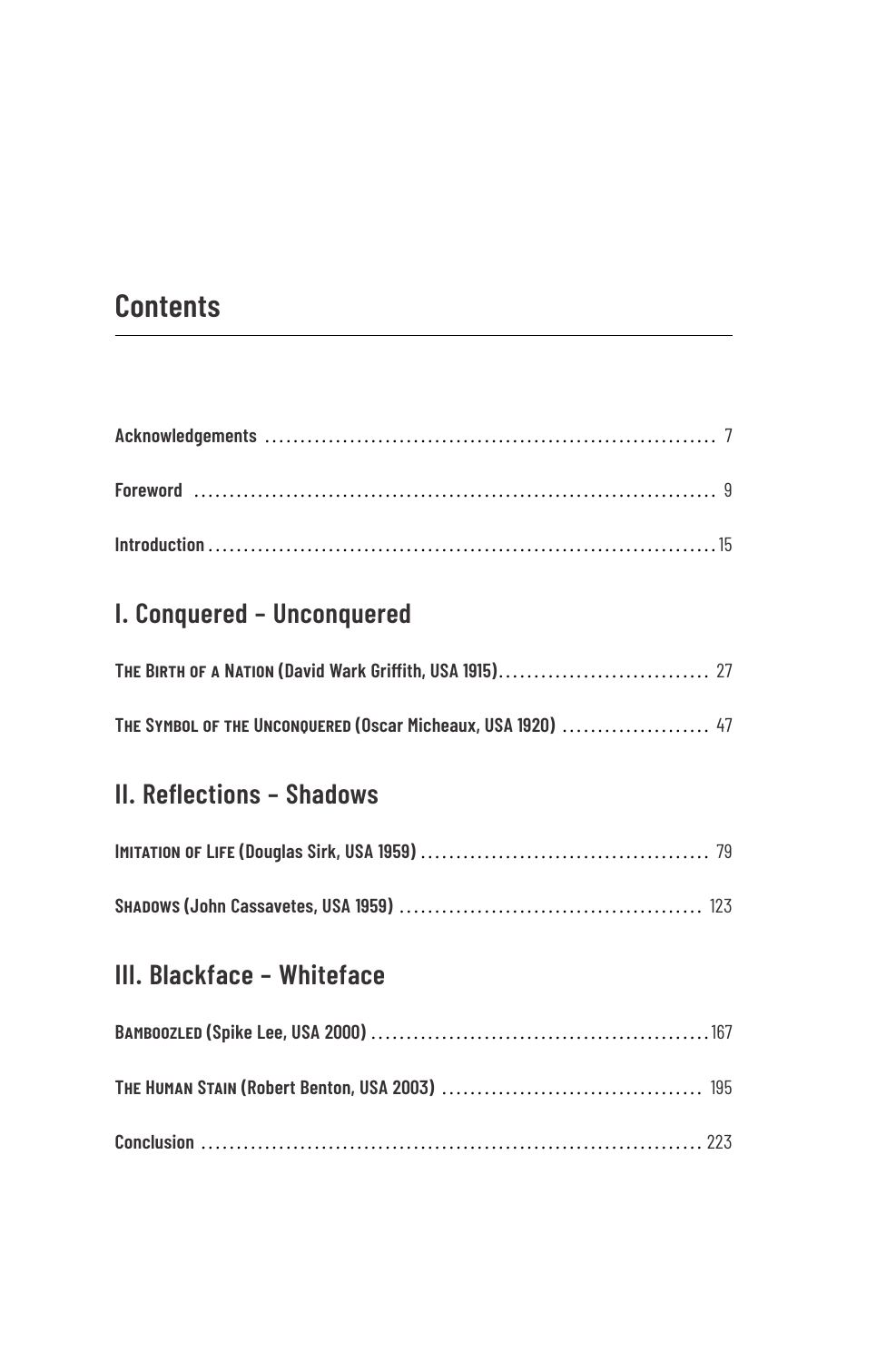## **Contents**

# **[I. Conquered – Unconquered](#page--1-0)**

| THE SYMBOL OF THE UNCONOUERED (Oscar Micheaux, USA 1920)  47 |  |
|--------------------------------------------------------------|--|

## **[II. Reflections – Shadows](#page--1-0)**

### **[III. Blackface – Whiteface](#page--1-0)**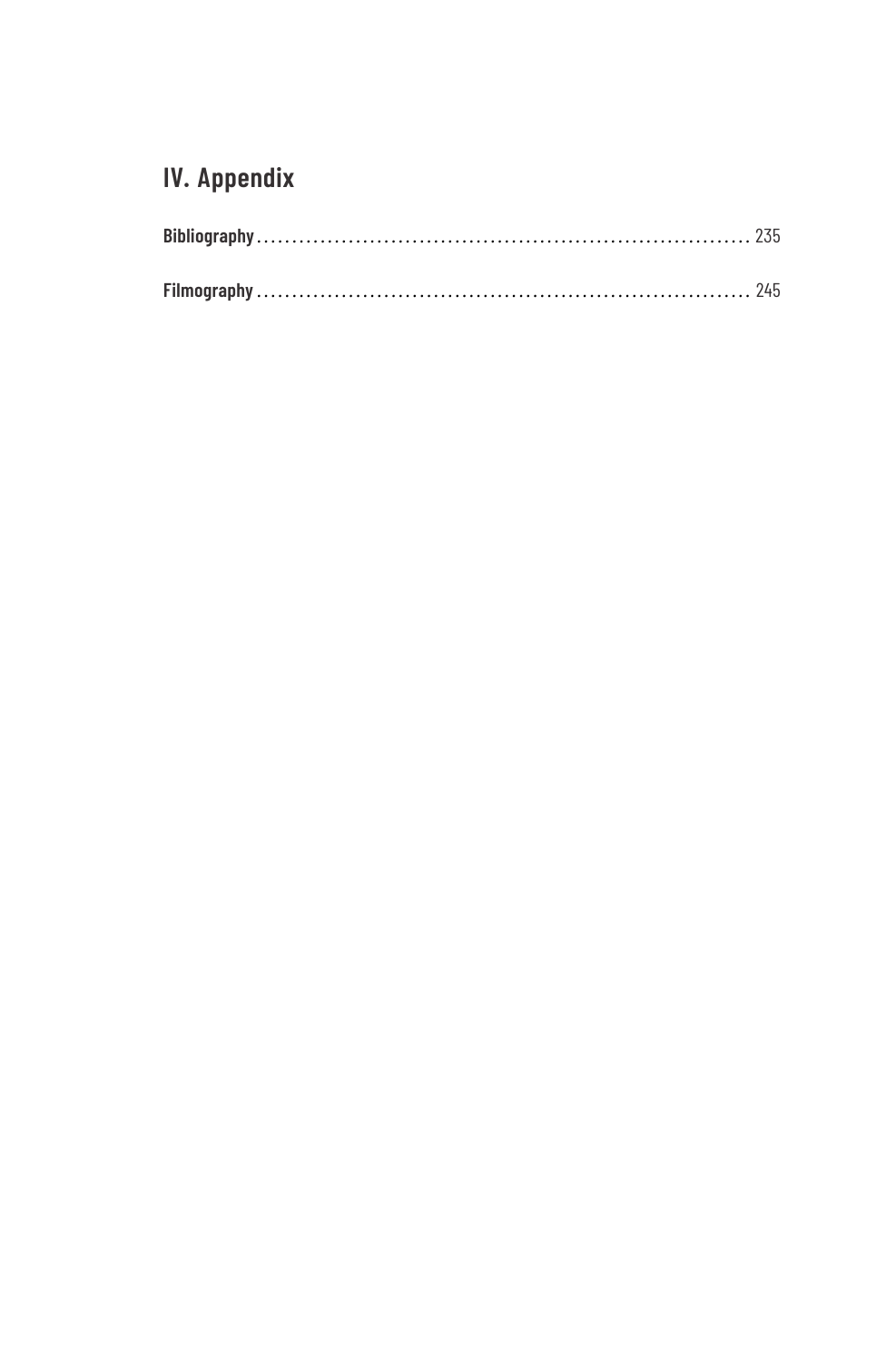# IV. Appendix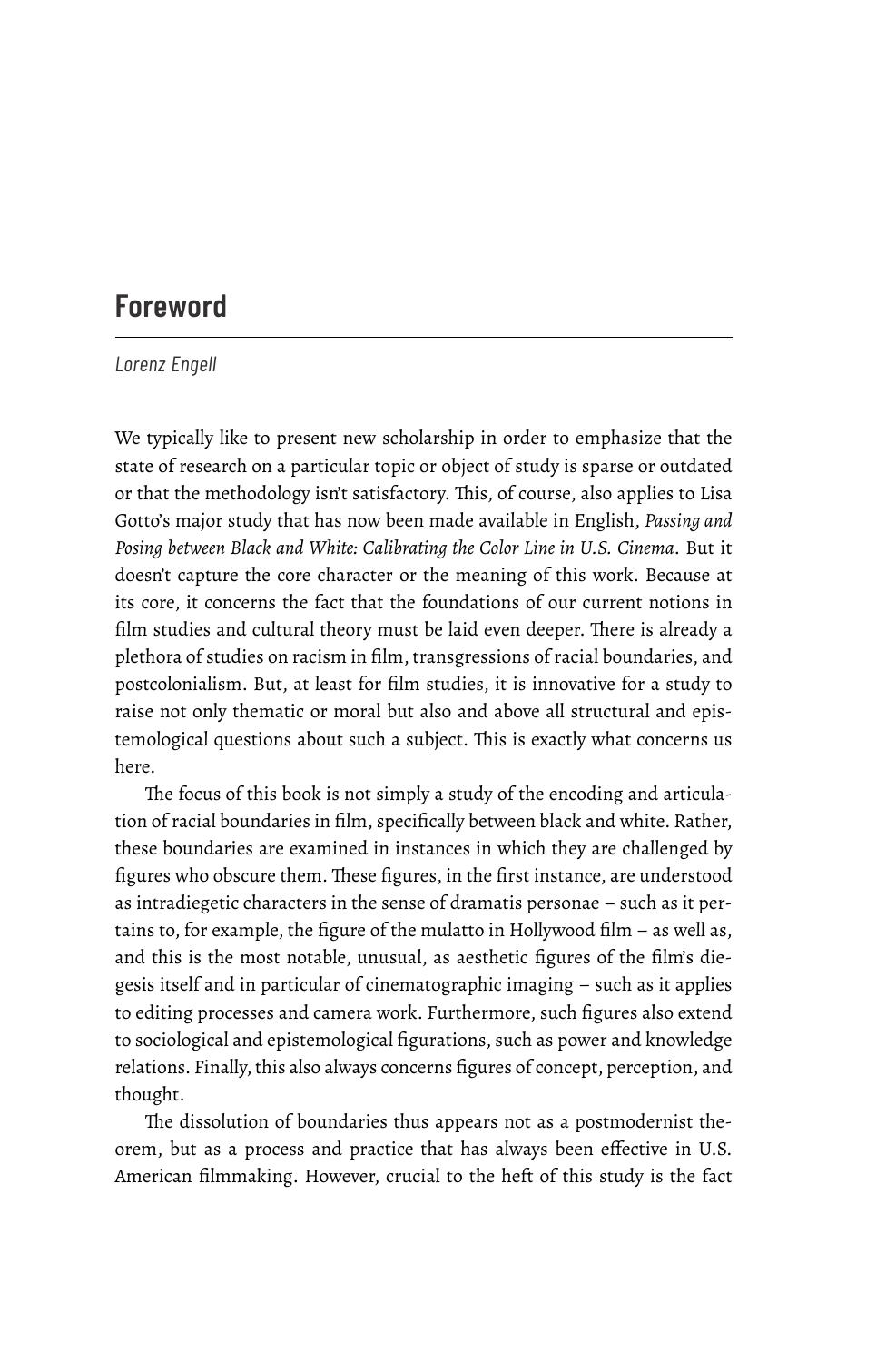### <span id="page-2-0"></span>**Foreword**

#### *Lorenz Engell*

We typically like to present new scholarship in order to emphasize that the state of research on a particular topic or object of study is sparse or outdated or that the methodology isn't satisfactory. This, of course, also applies to Lisa Gotto's major study that has now been made available in English, *Passing and Posing between Black and White: Calibrating the Color Line in U.S. Cinema*. But it doesn't capture the core character or the meaning of this work. Because at its core, it concerns the fact that the foundations of our current notions in film studies and cultural theory must be laid even deeper. There is already a plethora of studies on racism in film, transgressions of racial boundaries, and postcolonialism. But, at least for film studies, it is innovative for a study to raise not only thematic or moral but also and above all structural and epistemological questions about such a subject. This is exactly what concerns us here.

The focus of this book is not simply a study of the encoding and articulation of racial boundaries in film, specifically between black and white. Rather, these boundaries are examined in instances in which they are challenged by figures who obscure them. These figures, in the first instance, are understood as intradiegetic characters in the sense of dramatis personae – such as it pertains to, for example, the figure of the mulatto in Hollywood film – as well as, and this is the most notable, unusual, as aesthetic figures of the film's diegesis itself and in particular of cinematographic imaging – such as it applies to editing processes and camera work. Furthermore, such figures also extend to sociological and epistemological figurations, such as power and knowledge relations. Finally, this also always concerns figures of concept, perception, and thought.

The dissolution of boundaries thus appears not as a postmodernist theorem, but as a process and practice that has always been effective in U.S. American filmmaking. However, crucial to the heft of this study is the fact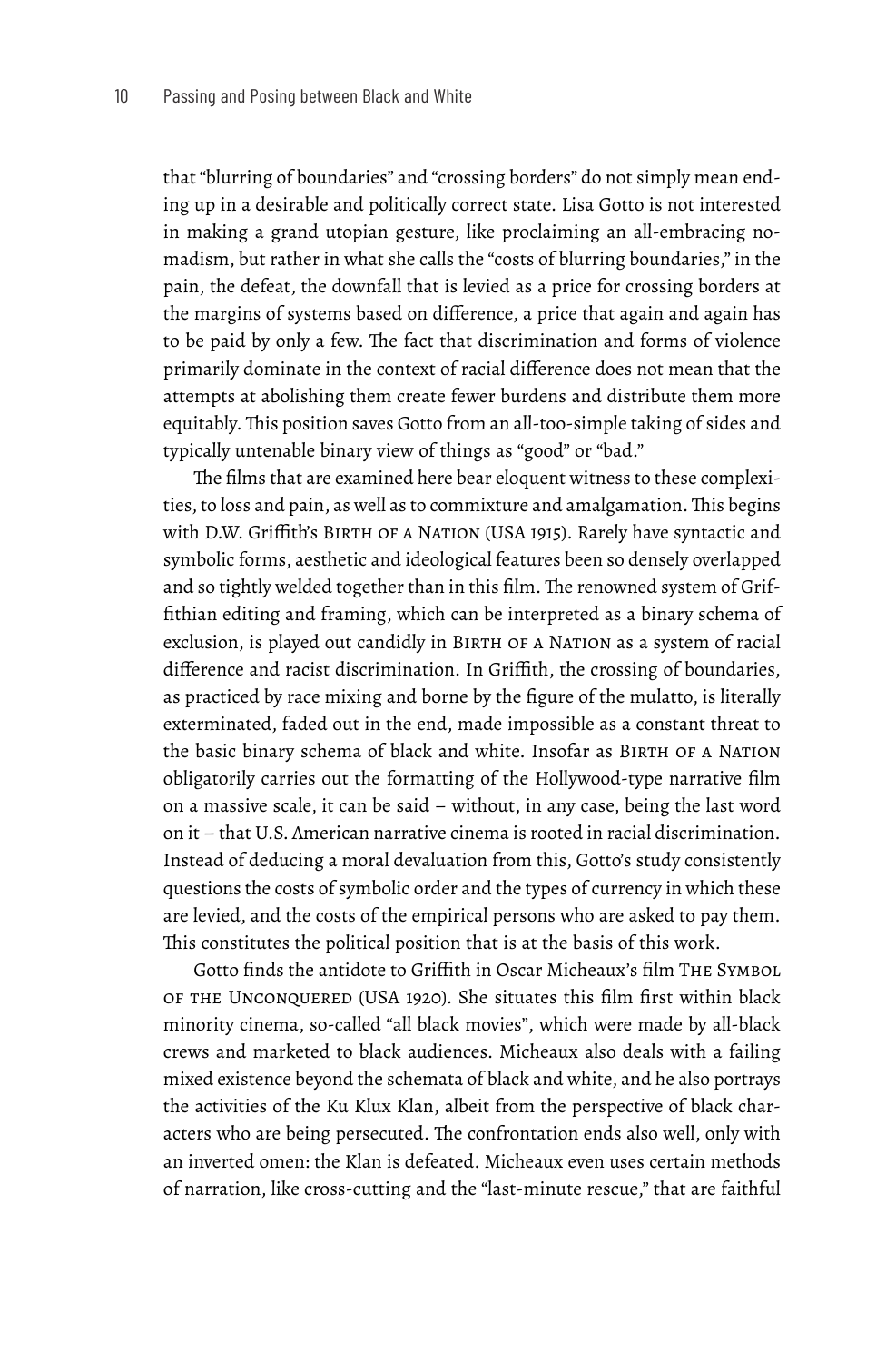that "blurring of boundaries" and "crossing borders" do not simply mean ending up in a desirable and politically correct state. Lisa Gotto is not interested in making a grand utopian gesture, like proclaiming an all-embracing nomadism, but rather in what she calls the "costs of blurring boundaries," in the pain, the defeat, the downfall that is levied as a price for crossing borders at the margins of systems based on difference, a price that again and again has to be paid by only a few. The fact that discrimination and forms of violence primarily dominate in the context of racial difference does not mean that the attempts at abolishing them create fewer burdens and distribute them more equitably. This position saves Gotto from an all-too-simple taking of sides and typically untenable binary view of things as "good" or "bad."

The films that are examined here bear eloquent witness to these complexities, to loss and pain, as well as to commixture and amalgamation.This begins with D.W. Griffith's BIRTH OF A NATION (USA 1915). Rarely have syntactic and symbolic forms, aesthetic and ideological features been so densely overlapped and so tightly welded together than in this film. The renowned system of Griffithian editing and framing, which can be interpreted as a binary schema of exclusion, is played out candidly in BIRTH OF A NATION as a system of racial difference and racist discrimination. In Griffith, the crossing of boundaries, as practiced by race mixing and borne by the figure of the mulatto, is literally exterminated, faded out in the end, made impossible as a constant threat to the basic binary schema of black and white. Insofar as BIRTH OF A NATION obligatorily carries out the formatting of the Hollywood-type narrative film on a massive scale, it can be said – without, in any case, being the last word on it – that U.S. American narrative cinema is rooted in racial discrimination. Instead of deducing a moral devaluation from this, Gotto's study consistently questions the costs of symbolic order and the types of currency in which these are levied, and the costs of the empirical persons who are asked to pay them. This constitutes the political position that is at the basis of this work.

Gotto finds the antidote to Griffith in Oscar Micheaux's film The Symbol of the Unconquered (USA 1920)*.* She situates this film first within black minority cinema, so-called "all black movies", which were made by all-black crews and marketed to black audiences. Micheaux also deals with a failing mixed existence beyond the schemata of black and white, and he also portrays the activities of the Ku Klux Klan, albeit from the perspective of black characters who are being persecuted. The confrontation ends also well, only with an inverted omen: the Klan is defeated. Micheaux even uses certain methods of narration, like cross-cutting and the "last-minute rescue," that are faithful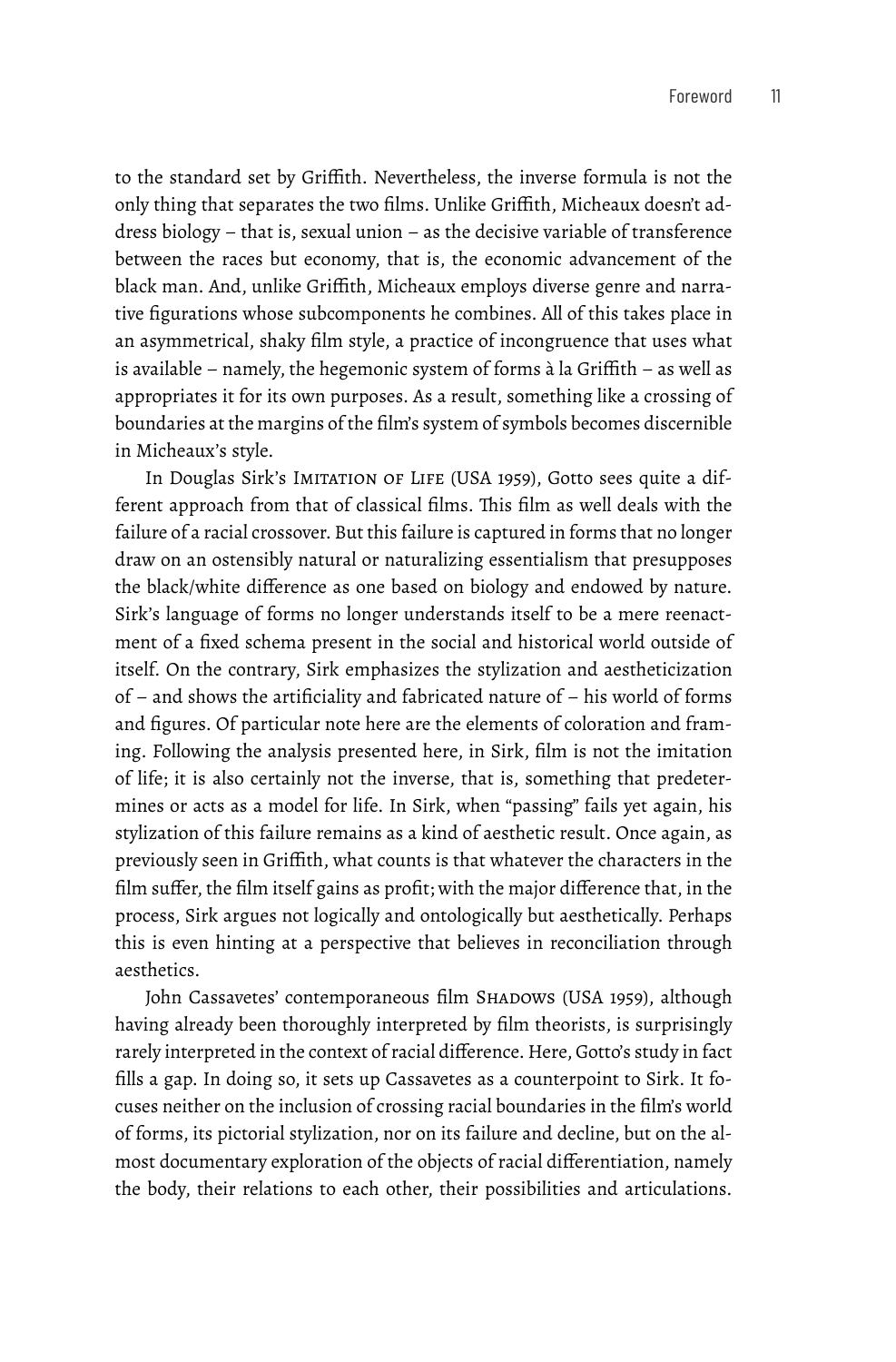to the standard set by Griffith. Nevertheless, the inverse formula is not the only thing that separates the two films. Unlike Griffith, Micheaux doesn't address biology – that is, sexual union – as the decisive variable of transference between the races but economy, that is, the economic advancement of the black man. And, unlike Griffith, Micheaux employs diverse genre and narrative figurations whose subcomponents he combines. All of this takes place in an asymmetrical, shaky film style, a practice of incongruence that uses what is available – namely, the hegemonic system of forms à la Griffith – as well as appropriates it for its own purposes. As a result, something like a crossing of boundaries at the margins of the film's system of symbols becomes discernible in Micheaux's style.

In Douglas Sirk's IMITATION OF LIFE (USA 1959), Gotto sees quite a different approach from that of classical films. This film as well deals with the failure of a racial crossover. But this failure is captured in forms that no longer draw on an ostensibly natural or naturalizing essentialism that presupposes the black/white difference as one based on biology and endowed by nature. Sirk's language of forms no longer understands itself to be a mere reenactment of a fixed schema present in the social and historical world outside of itself. On the contrary, Sirk emphasizes the stylization and aestheticization of – and shows the artificiality and fabricated nature of – his world of forms and figures. Of particular note here are the elements of coloration and framing. Following the analysis presented here, in Sirk, film is not the imitation of life; it is also certainly not the inverse, that is, something that predetermines or acts as a model for life. In Sirk, when "passing" fails yet again, his stylization of this failure remains as a kind of aesthetic result. Once again, as previously seen in Griffith, what counts is that whatever the characters in the film suffer, the film itself gains as profit; with the major difference that, in the process, Sirk argues not logically and ontologically but aesthetically. Perhaps this is even hinting at a perspective that believes in reconciliation through aesthetics.

John Cassavetes' contemporaneous film SHADOWS (USA 1959), although having already been thoroughly interpreted by film theorists, is surprisingly rarely interpreted in the context of racial difference. Here, Gotto's study in fact fills a gap. In doing so, it sets up Cassavetes as a counterpoint to Sirk. It focuses neither on the inclusion of crossing racial boundaries in the film's world of forms, its pictorial stylization, nor on its failure and decline, but on the almost documentary exploration of the objects of racial differentiation, namely the body, their relations to each other, their possibilities and articulations.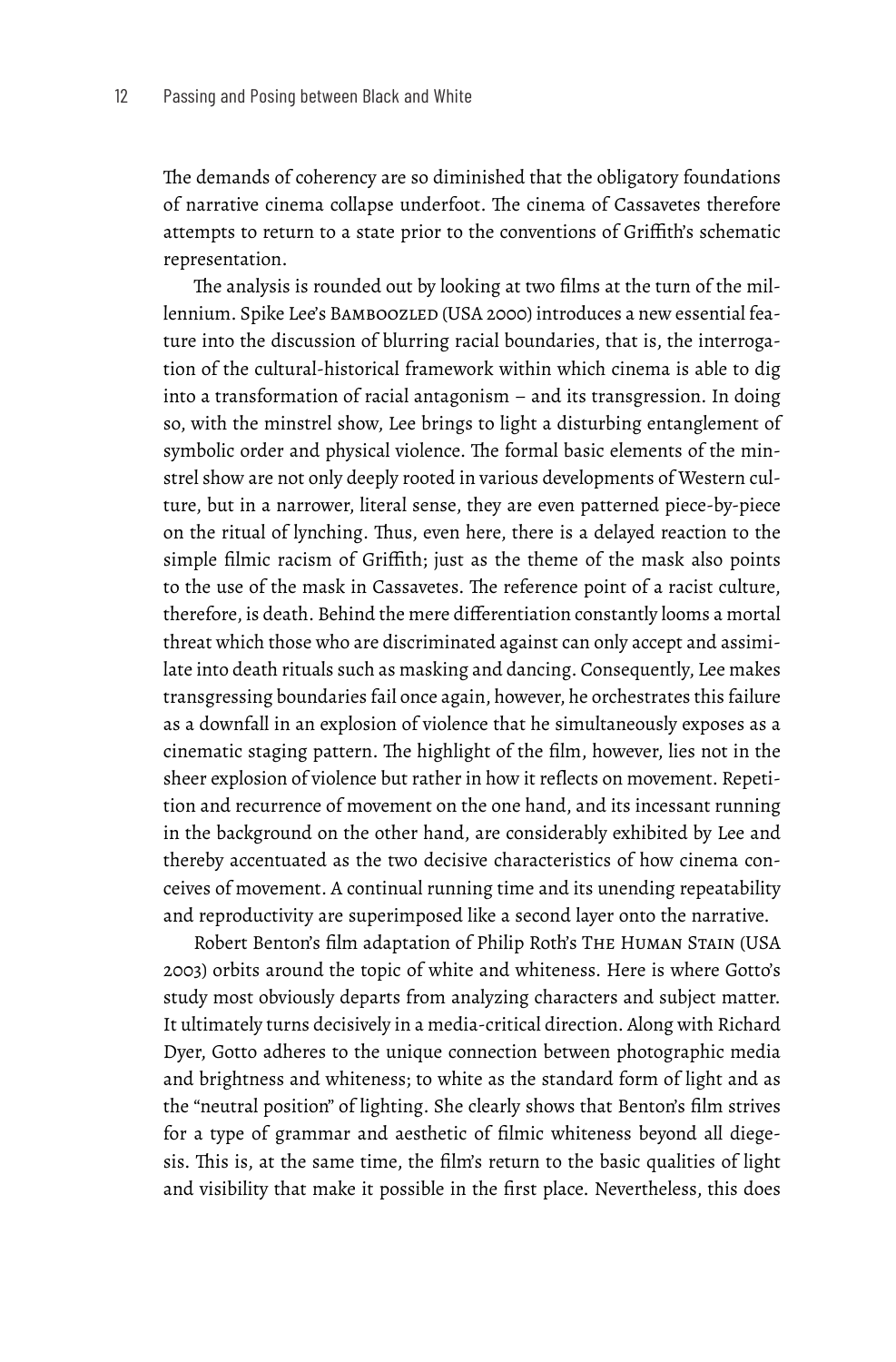The demands of coherency are so diminished that the obligatory foundations of narrative cinema collapse underfoot. The cinema of Cassavetes therefore attempts to return to a state prior to the conventions of Griffith's schematic representation.

The analysis is rounded out by looking at two films at the turn of the millennium. Spike Lee's BAMBOOZLED (USA 2000) introduces a new essential feature into the discussion of blurring racial boundaries, that is, the interrogation of the cultural-historical framework within which cinema is able to dig into a transformation of racial antagonism – and its transgression. In doing so, with the minstrel show, Lee brings to light a disturbing entanglement of symbolic order and physical violence. The formal basic elements of the minstrel show are not only deeply rooted in various developments of Western culture, but in a narrower, literal sense, they are even patterned piece-by-piece on the ritual of lynching. Thus, even here, there is a delayed reaction to the simple filmic racism of Griffith; just as the theme of the mask also points to the use of the mask in Cassavetes. The reference point of a racist culture, therefore, is death. Behind the mere differentiation constantly looms a mortal threat which those who are discriminated against can only accept and assimilate into death rituals such as masking and dancing. Consequently, Lee makes transgressing boundaries fail once again, however, he orchestrates this failure as a downfall in an explosion of violence that he simultaneously exposes as a cinematic staging pattern. The highlight of the film, however, lies not in the sheer explosion of violence but rather in how it reflects on movement. Repetition and recurrence of movement on the one hand, and its incessant running in the background on the other hand, are considerably exhibited by Lee and thereby accentuated as the two decisive characteristics of how cinema conceives of movement. A continual running time and its unending repeatability and reproductivity are superimposed like a second layer onto the narrative.

Robert Benton's film adaptation of Philip Roth's The Human Stain (USA 2003) orbits around the topic of white and whiteness. Here is where Gotto's study most obviously departs from analyzing characters and subject matter. It ultimately turns decisively in a media-critical direction. Along with Richard Dyer, Gotto adheres to the unique connection between photographic media and brightness and whiteness; to white as the standard form of light and as the "neutral position" of lighting. She clearly shows that Benton's film strives for a type of grammar and aesthetic of filmic whiteness beyond all diegesis. This is, at the same time, the film's return to the basic qualities of light and visibility that make it possible in the first place. Nevertheless, this does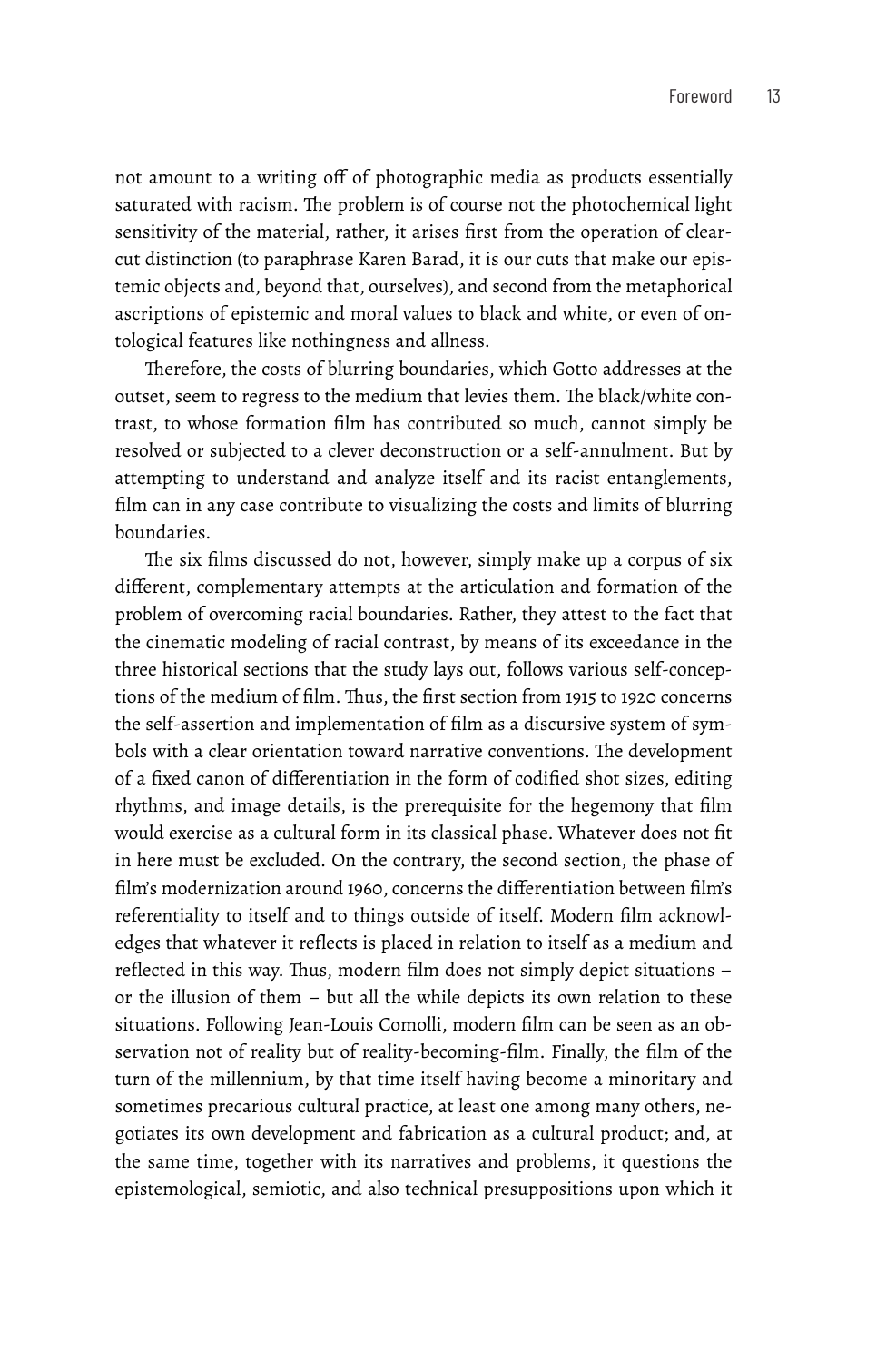not amount to a writing off of photographic media as products essentially saturated with racism. The problem is of course not the photochemical light sensitivity of the material, rather, it arises first from the operation of clearcut distinction (to paraphrase Karen Barad, it is our cuts that make our epistemic objects and, beyond that, ourselves), and second from the metaphorical ascriptions of epistemic and moral values to black and white, or even of ontological features like nothingness and allness.

Therefore, the costs of blurring boundaries, which Gotto addresses at the outset, seem to regress to the medium that levies them. The black/white contrast, to whose formation film has contributed so much, cannot simply be resolved or subjected to a clever deconstruction or a self-annulment. But by attempting to understand and analyze itself and its racist entanglements, film can in any case contribute to visualizing the costs and limits of blurring boundaries.

The six films discussed do not, however, simply make up a corpus of six different, complementary attempts at the articulation and formation of the problem of overcoming racial boundaries. Rather, they attest to the fact that the cinematic modeling of racial contrast, by means of its exceedance in the three historical sections that the study lays out, follows various self-conceptions of the medium of film. Thus, the first section from 1915 to 1920 concerns the self-assertion and implementation of film as a discursive system of symbols with a clear orientation toward narrative conventions. The development of a fixed canon of differentiation in the form of codified shot sizes, editing rhythms, and image details, is the prerequisite for the hegemony that film would exercise as a cultural form in its classical phase. Whatever does not fit in here must be excluded. On the contrary, the second section, the phase of film's modernization around 1960, concerns the differentiation between film's referentiality to itself and to things outside of itself. Modern film acknowledges that whatever it reflects is placed in relation to itself as a medium and reflected in this way. Thus, modern film does not simply depict situations – or the illusion of them – but all the while depicts its own relation to these situations. Following Jean-Louis Comolli, modern film can be seen as an observation not of reality but of reality-becoming-film. Finally, the film of the turn of the millennium, by that time itself having become a minoritary and sometimes precarious cultural practice, at least one among many others, negotiates its own development and fabrication as a cultural product; and, at the same time, together with its narratives and problems, it questions the epistemological, semiotic, and also technical presuppositions upon which it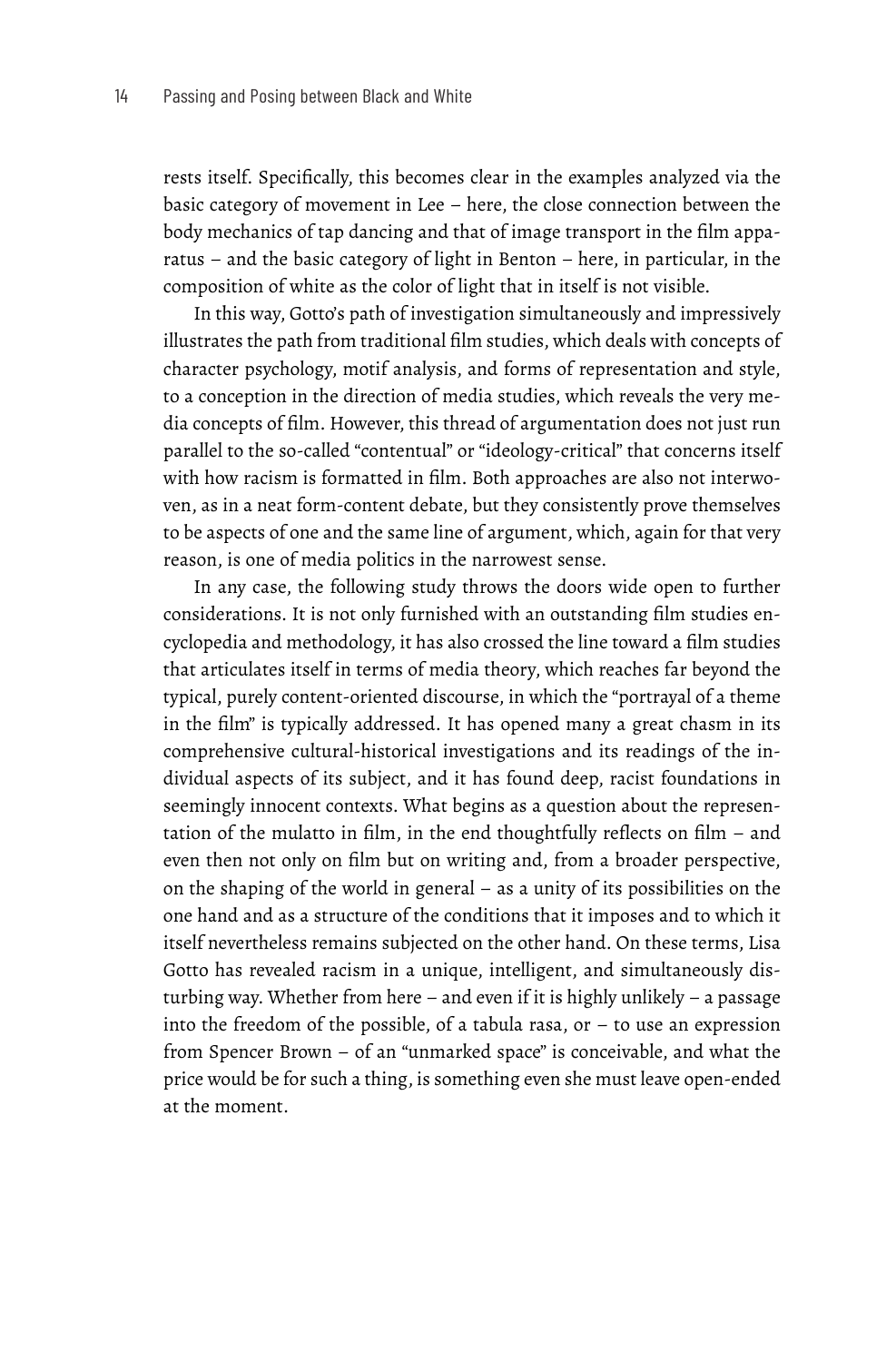rests itself. Specifically, this becomes clear in the examples analyzed via the basic category of movement in Lee – here, the close connection between the body mechanics of tap dancing and that of image transport in the film apparatus – and the basic category of light in Benton – here, in particular, in the composition of white as the color of light that in itself is not visible.

In this way, Gotto's path of investigation simultaneously and impressively illustrates the path from traditional film studies, which deals with concepts of character psychology, motif analysis, and forms of representation and style, to a conception in the direction of media studies, which reveals the very media concepts of film. However, this thread of argumentation does not just run parallel to the so-called "contentual" or "ideology-critical" that concerns itself with how racism is formatted in film. Both approaches are also not interwoven, as in a neat form-content debate, but they consistently prove themselves to be aspects of one and the same line of argument, which, again for that very reason, is one of media politics in the narrowest sense.

In any case, the following study throws the doors wide open to further considerations. It is not only furnished with an outstanding film studies encyclopedia and methodology, it has also crossed the line toward a film studies that articulates itself in terms of media theory, which reaches far beyond the typical, purely content-oriented discourse, in which the "portrayal of a theme in the film" is typically addressed. It has opened many a great chasm in its comprehensive cultural-historical investigations and its readings of the individual aspects of its subject, and it has found deep, racist foundations in seemingly innocent contexts. What begins as a question about the representation of the mulatto in film, in the end thoughtfully reflects on film – and even then not only on film but on writing and, from a broader perspective, on the shaping of the world in general – as a unity of its possibilities on the one hand and as a structure of the conditions that it imposes and to which it itself nevertheless remains subjected on the other hand. On these terms, Lisa Gotto has revealed racism in a unique, intelligent, and simultaneously disturbing way. Whether from here – and even if it is highly unlikely – a passage into the freedom of the possible, of a tabula rasa, or – to use an expression from Spencer Brown – of an "unmarked space" is conceivable, and what the price would be for such a thing, is something even she must leave open-ended at the moment.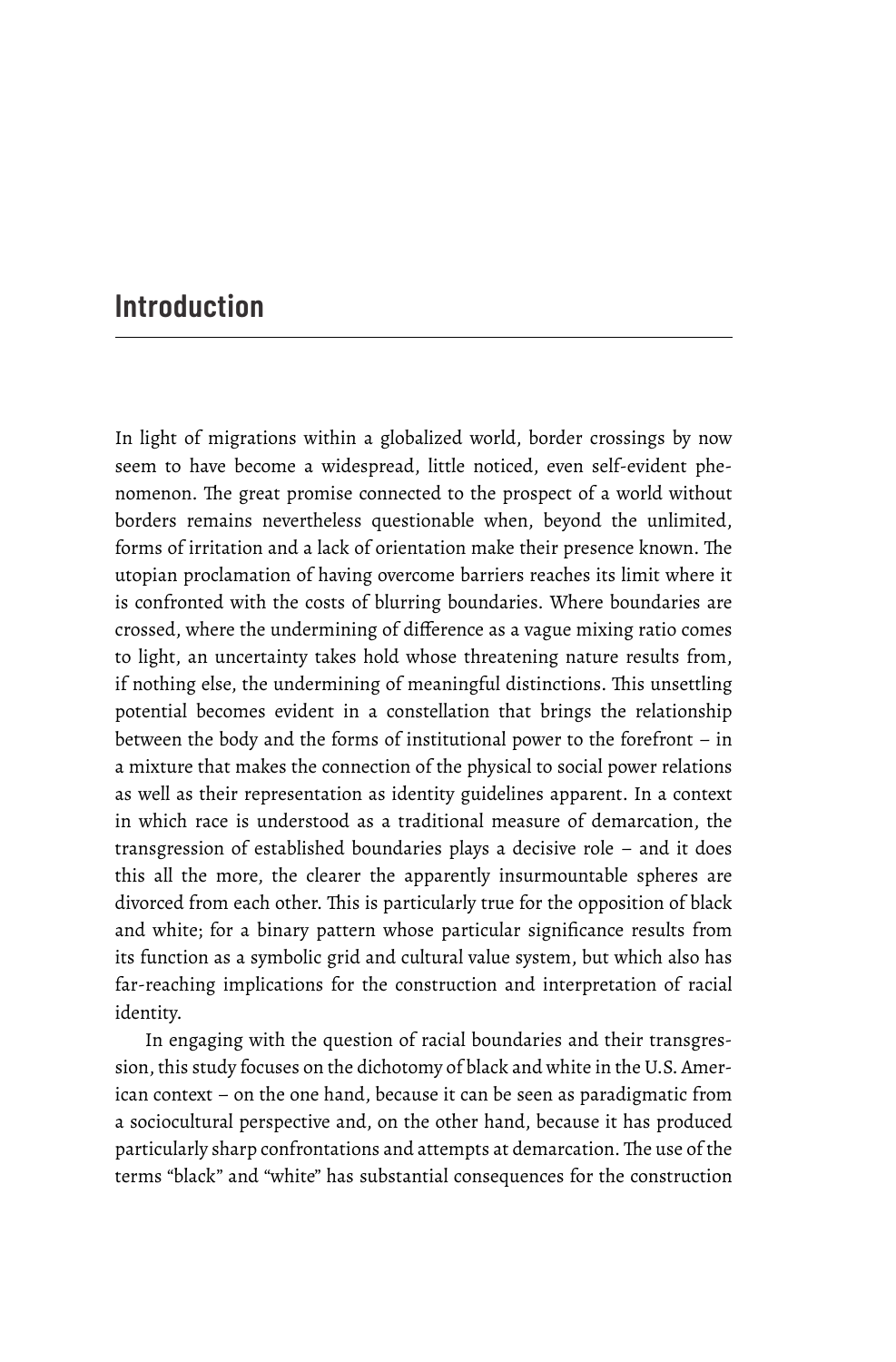## <span id="page-8-0"></span>**Introduction**

In light of migrations within a globalized world, border crossings by now seem to have become a widespread, little noticed, even self-evident phenomenon. The great promise connected to the prospect of a world without borders remains nevertheless questionable when, beyond the unlimited, forms of irritation and a lack of orientation make their presence known. The utopian proclamation of having overcome barriers reaches its limit where it is confronted with the costs of blurring boundaries. Where boundaries are crossed, where the undermining of difference as a vague mixing ratio comes to light, an uncertainty takes hold whose threatening nature results from, if nothing else, the undermining of meaningful distinctions. This unsettling potential becomes evident in a constellation that brings the relationship between the body and the forms of institutional power to the forefront – in a mixture that makes the connection of the physical to social power relations as well as their representation as identity guidelines apparent. In a context in which race is understood as a traditional measure of demarcation, the transgression of established boundaries plays a decisive role – and it does this all the more, the clearer the apparently insurmountable spheres are divorced from each other. This is particularly true for the opposition of black and white; for a binary pattern whose particular significance results from its function as a symbolic grid and cultural value system, but which also has far-reaching implications for the construction and interpretation of racial identity.

In engaging with the question of racial boundaries and their transgression, this study focuses on the dichotomy of black and white in the U.S. American context – on the one hand, because it can be seen as paradigmatic from a sociocultural perspective and, on the other hand, because it has produced particularly sharp confrontations and attempts at demarcation. The use of the terms "black" and "white" has substantial consequences for the construction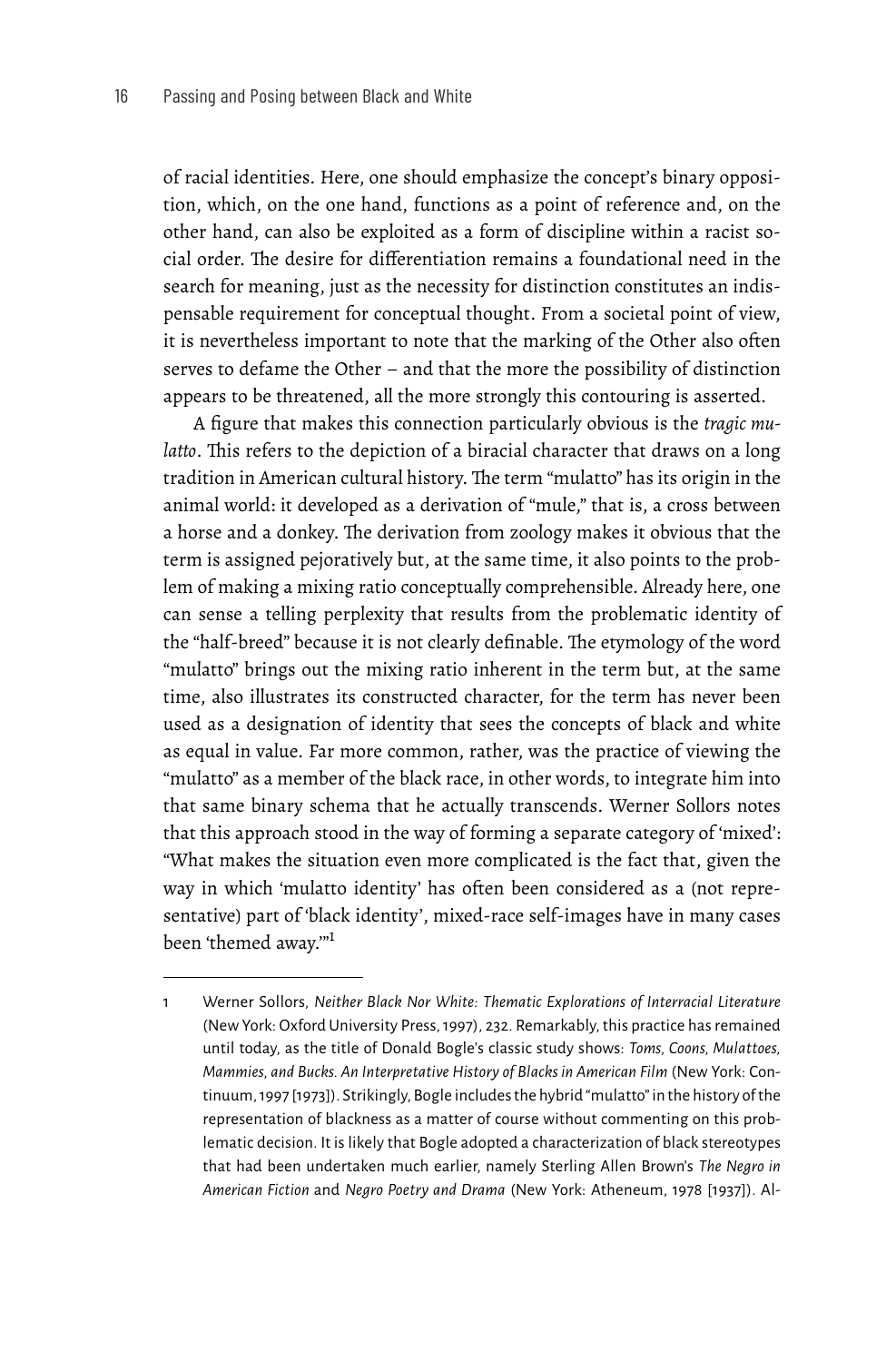of racial identities. Here, one should emphasize the concept's binary opposition, which, on the one hand, functions as a point of reference and, on the other hand, can also be exploited as a form of discipline within a racist social order. The desire for differentiation remains a foundational need in the search for meaning, just as the necessity for distinction constitutes an indispensable requirement for conceptual thought. From a societal point of view, it is nevertheless important to note that the marking of the Other also often serves to defame the Other – and that the more the possibility of distinction appears to be threatened, all the more strongly this contouring is asserted.

A figure that makes this connection particularly obvious is the *tragic mulatto*. This refers to the depiction of a biracial character that draws on a long tradition in American cultural history. The term "mulatto" has its origin in the animal world: it developed as a derivation of "mule," that is, a cross between a horse and a donkey. The derivation from zoology makes it obvious that the term is assigned pejoratively but, at the same time, it also points to the problem of making a mixing ratio conceptually comprehensible. Already here, one can sense a telling perplexity that results from the problematic identity of the "half-breed" because it is not clearly definable. The etymology of the word "mulatto" brings out the mixing ratio inherent in the term but, at the same time, also illustrates its constructed character, for the term has never been used as a designation of identity that sees the concepts of black and white as equal in value. Far more common, rather, was the practice of viewing the "mulatto" as a member of the black race, in other words, to integrate him into that same binary schema that he actually transcends. Werner Sollors notes that this approach stood in the way of forming a separate category of 'mixed': "What makes the situation even more complicated is the fact that, given the way in which 'mulatto identity' has often been considered as a (not representative) part of 'black identity', mixed-race self-images have in many cases been 'themed away.'"[1](#page-9-0)

<span id="page-9-0"></span><sup>1</sup> Werner Sollors, *Neither Black Nor White: Thematic Explorations of Interracial Literature* (New York: Oxford University Press, 1997), 232. Remarkably, this practice has remained until today, as the title of Donald Bogle's classic study shows: *Toms, Coons, Mulattoes, Mammies, and Bucks. An Interpretative History of Blacks in American Film* (New York: Continuum, 1997 [1973]). Strikingly, Bogle includes the hybrid"mulatto" in the history of the representation of blackness as a matter of course without commenting on this problematic decision. It is likely that Bogle adopted a characterization of black stereotypes that had been undertaken much earlier, namely Sterling Allen Brown's *The Negro in American Fiction* and *Negro Poetry and Drama* (New York: Atheneum, 1978 [1937]). Al-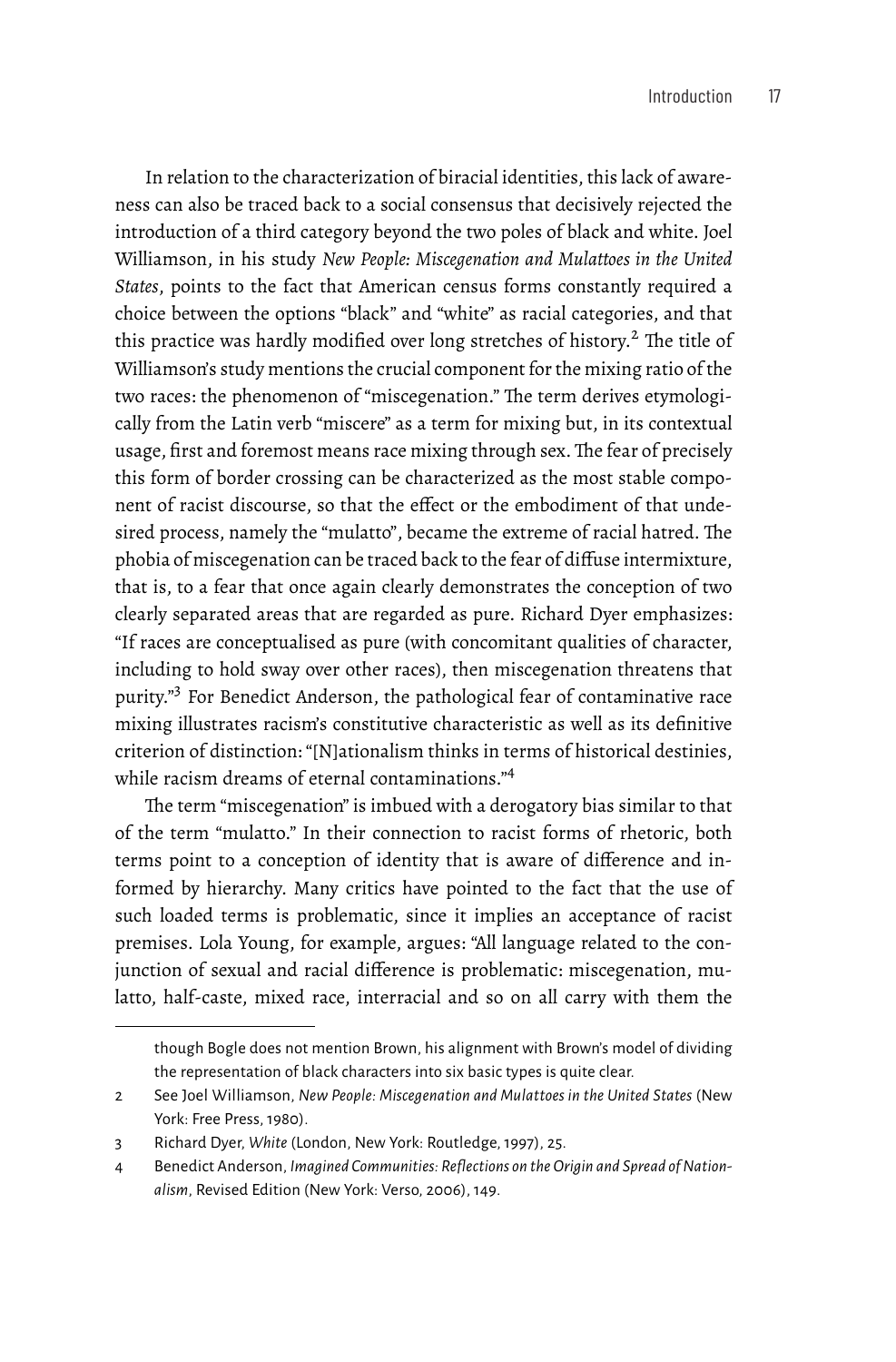In relation to the characterization of biracial identities, this lack of awareness can also be traced back to a social consensus that decisively rejected the introduction of a third category beyond the two poles of black and white. Joel Williamson, in his study *New People: Miscegenation and Mulattoes in the United States*, points to the fact that American census forms constantly required a choice between the options "black" and "white" as racial categories, and that this practice was hardly modified over long stretches of history.<sup>[2](#page-10-0)</sup> The title of Williamson's study mentions the crucial component for the mixing ratio of the two races: the phenomenon of "miscegenation." The term derives etymologically from the Latin verb "miscere" as a term for mixing but, in its contextual usage, first and foremost means race mixing through sex.The fear of precisely this form of border crossing can be characterized as the most stable component of racist discourse, so that the effect or the embodiment of that undesired process, namely the "mulatto", became the extreme of racial hatred. The phobia of miscegenation can be traced back to the fear of diffuse intermixture, that is, to a fear that once again clearly demonstrates the conception of two clearly separated areas that are regarded as pure. Richard Dyer emphasizes: "If races are conceptualised as pure (with concomitant qualities of character, including to hold sway over other races), then miscegenation threatens that purity."[3](#page-10-1) For Benedict Anderson, the pathological fear of contaminative race mixing illustrates racism's constitutive characteristic as well as its definitive criterion of distinction: "[N]ationalism thinks in terms of historical destinies, while racism dreams of eternal contaminations."[4](#page-10-2)

The term "miscegenation" is imbued with a derogatory bias similar to that of the term "mulatto." In their connection to racist forms of rhetoric, both terms point to a conception of identity that is aware of difference and informed by hierarchy. Many critics have pointed to the fact that the use of such loaded terms is problematic, since it implies an acceptance of racist premises. Lola Young, for example, argues: "All language related to the conjunction of sexual and racial difference is problematic: miscegenation, mulatto, half-caste, mixed race, interracial and so on all carry with them the

<span id="page-10-0"></span>though Bogle does not mention Brown, his alignment with Brown's model of dividing the representation of black characters into six basic types is quite clear.

<sup>2</sup> See Joel Williamson, *New People: Miscegenation and Mulattoes in the United States* (New York: Free Press, 1980).

<span id="page-10-1"></span><sup>3</sup> Richard Dyer, *White* (London, New York: Routledge, 1997), 25.

<span id="page-10-2"></span><sup>4</sup> Benedict Anderson, *Imagined Communities: Reflections on the Origin and Spread of Nationalism*, Revised Edition (New York: Verso, 2006), 149.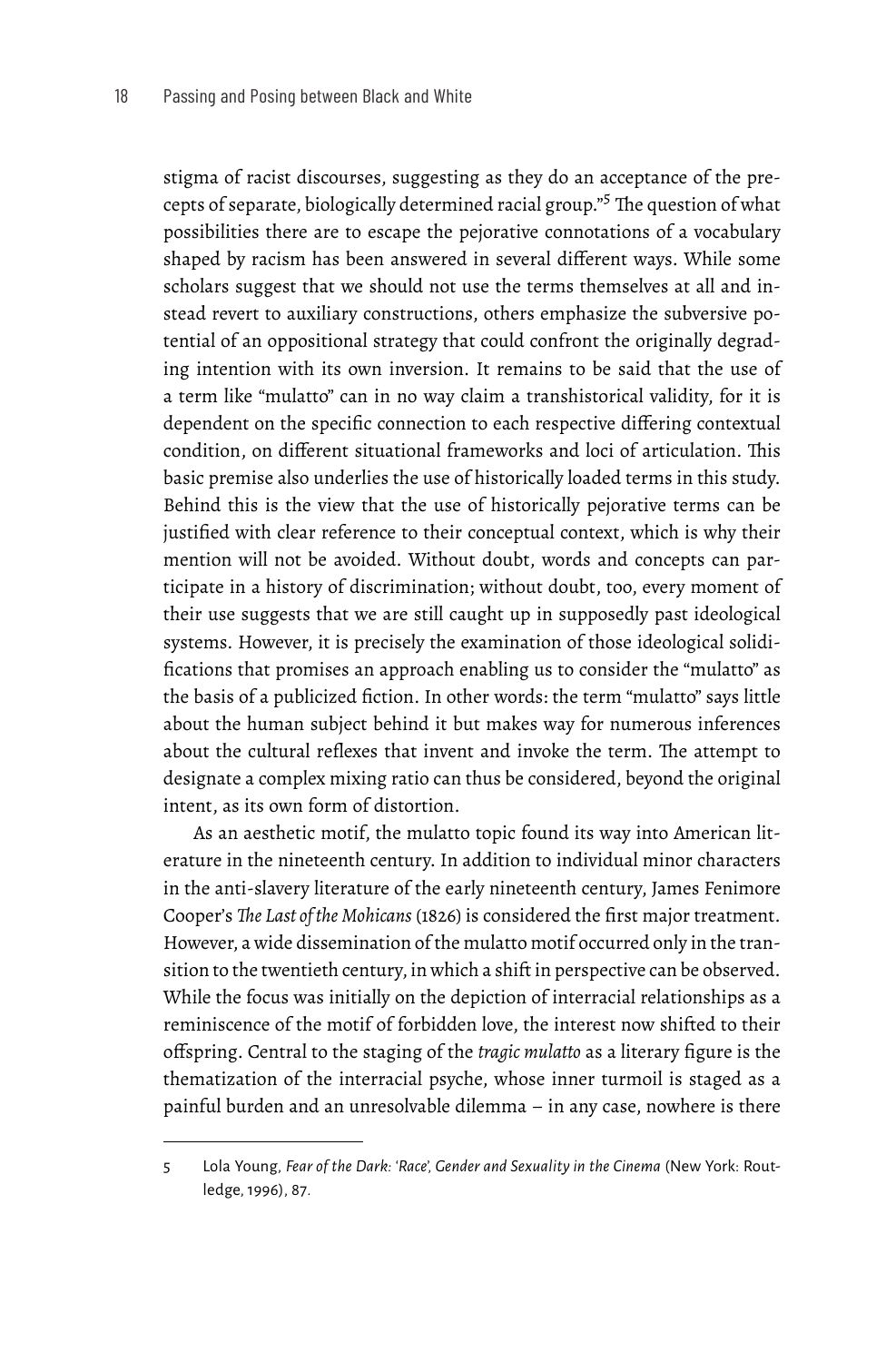stigma of racist discourses, suggesting as they do an acceptance of the precepts of separate, biologically determined racial group."[5](#page-11-0) The question of what possibilities there are to escape the pejorative connotations of a vocabulary shaped by racism has been answered in several different ways. While some scholars suggest that we should not use the terms themselves at all and instead revert to auxiliary constructions, others emphasize the subversive potential of an oppositional strategy that could confront the originally degrading intention with its own inversion. It remains to be said that the use of a term like "mulatto" can in no way claim a transhistorical validity, for it is dependent on the specific connection to each respective differing contextual condition, on different situational frameworks and loci of articulation. This basic premise also underlies the use of historically loaded terms in this study. Behind this is the view that the use of historically pejorative terms can be justified with clear reference to their conceptual context, which is why their mention will not be avoided. Without doubt, words and concepts can participate in a history of discrimination; without doubt, too, every moment of their use suggests that we are still caught up in supposedly past ideological systems. However, it is precisely the examination of those ideological solidifications that promises an approach enabling us to consider the "mulatto" as the basis of a publicized fiction. In other words: the term "mulatto" says little about the human subject behind it but makes way for numerous inferences about the cultural reflexes that invent and invoke the term. The attempt to designate a complex mixing ratio can thus be considered, beyond the original intent, as its own form of distortion.

As an aesthetic motif, the mulatto topic found its way into American literature in the nineteenth century. In addition to individual minor characters in the anti-slavery literature of the early nineteenth century, James Fenimore Cooper's *The Last of the Mohicans* (1826) is considered the first major treatment. However, a wide dissemination of the mulatto motif occurred only in the transition to the twentieth century, in which a shift in perspective can be observed. While the focus was initially on the depiction of interracial relationships as a reminiscence of the motif of forbidden love, the interest now shifted to their offspring. Central to the staging of the *tragic mulatto* as a literary figure is the thematization of the interracial psyche, whose inner turmoil is staged as a painful burden and an unresolvable dilemma – in any case, nowhere is there

<span id="page-11-0"></span><sup>5</sup> Lola Young, *Fear of the Dark: 'Race', Gender and Sexuality in the Cinema* (New York: Routledge, 1996), 87.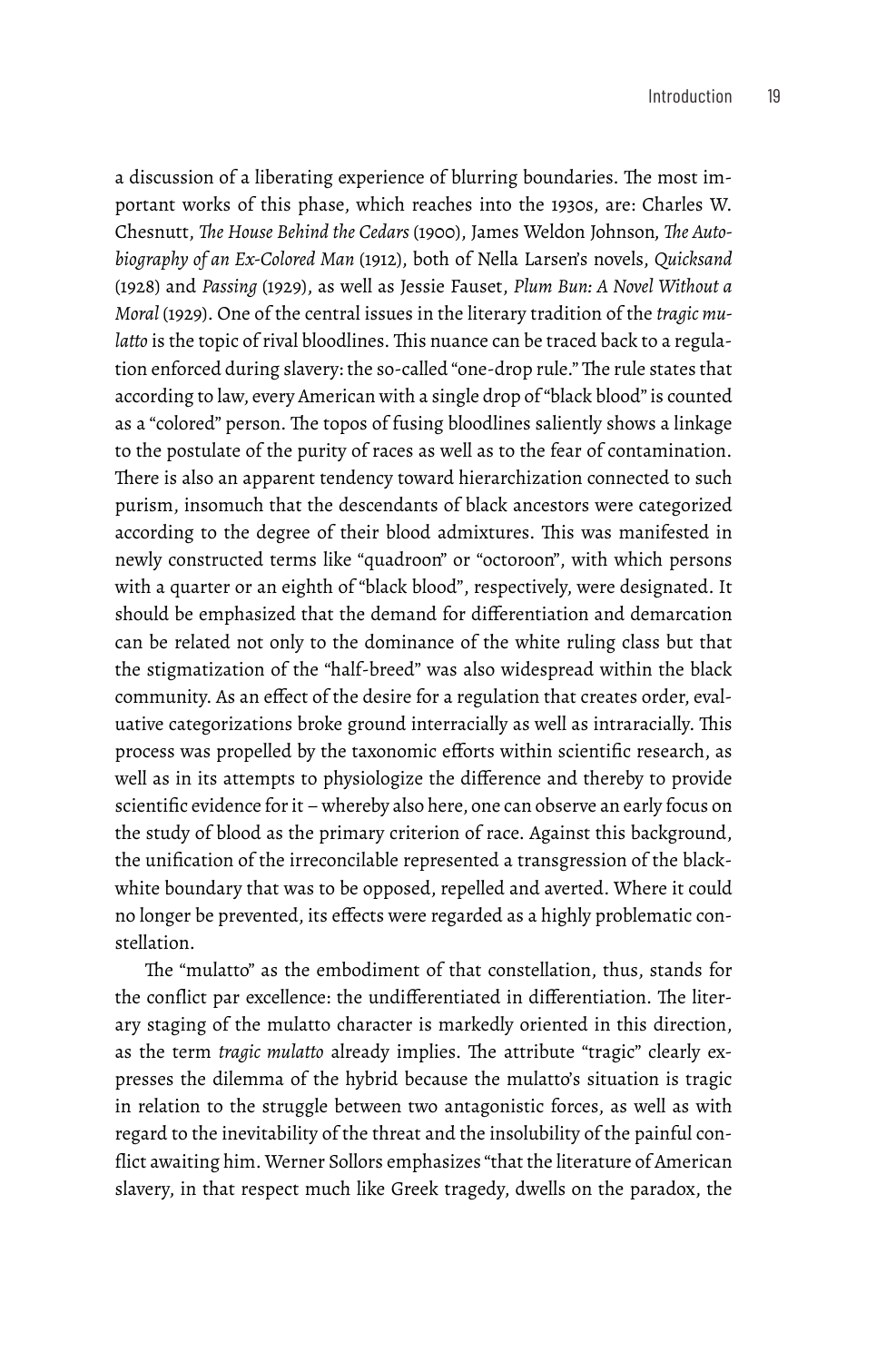a discussion of a liberating experience of blurring boundaries. The most important works of this phase, which reaches into the 1930s, are: Charles W. Chesnutt, *The House Behind the Cedars* (1900), James Weldon Johnson*, The Autobiography of an Ex-Colored Man* (1912), both of Nella Larsen's novels, *Quicksand* (1928) and *Passing* (1929), as well as Jessie Fauset, *Plum Bun: A Novel Without a Moral* (1929). One of the central issues in the literary tradition of the *tragic mulatto* is the topic of rival bloodlines. This nuance can be traced back to a regulation enforced during slavery: the so-called "one-drop rule." The rule states that according to law, every American with a single drop of "black blood" is counted as a "colored" person. The topos of fusing bloodlines saliently shows a linkage to the postulate of the purity of races as well as to the fear of contamination. There is also an apparent tendency toward hierarchization connected to such purism, insomuch that the descendants of black ancestors were categorized according to the degree of their blood admixtures. This was manifested in newly constructed terms like "quadroon" or "octoroon", with which persons with a quarter or an eighth of "black blood", respectively, were designated. It should be emphasized that the demand for differentiation and demarcation can be related not only to the dominance of the white ruling class but that the stigmatization of the "half-breed" was also widespread within the black community. As an effect of the desire for a regulation that creates order, evaluative categorizations broke ground interracially as well as intraracially. This process was propelled by the taxonomic efforts within scientific research, as well as in its attempts to physiologize the difference and thereby to provide scientific evidence for it – whereby also here, one can observe an early focus on the study of blood as the primary criterion of race. Against this background, the unification of the irreconcilable represented a transgression of the blackwhite boundary that was to be opposed, repelled and averted. Where it could no longer be prevented, its effects were regarded as a highly problematic constellation.

The "mulatto" as the embodiment of that constellation, thus, stands for the conflict par excellence: the undifferentiated in differentiation. The literary staging of the mulatto character is markedly oriented in this direction, as the term *tragic mulatto* already implies. The attribute "tragic" clearly expresses the dilemma of the hybrid because the mulatto's situation is tragic in relation to the struggle between two antagonistic forces, as well as with regard to the inevitability of the threat and the insolubility of the painful conflict awaiting him. Werner Sollors emphasizes "that the literature of American slavery, in that respect much like Greek tragedy, dwells on the paradox, the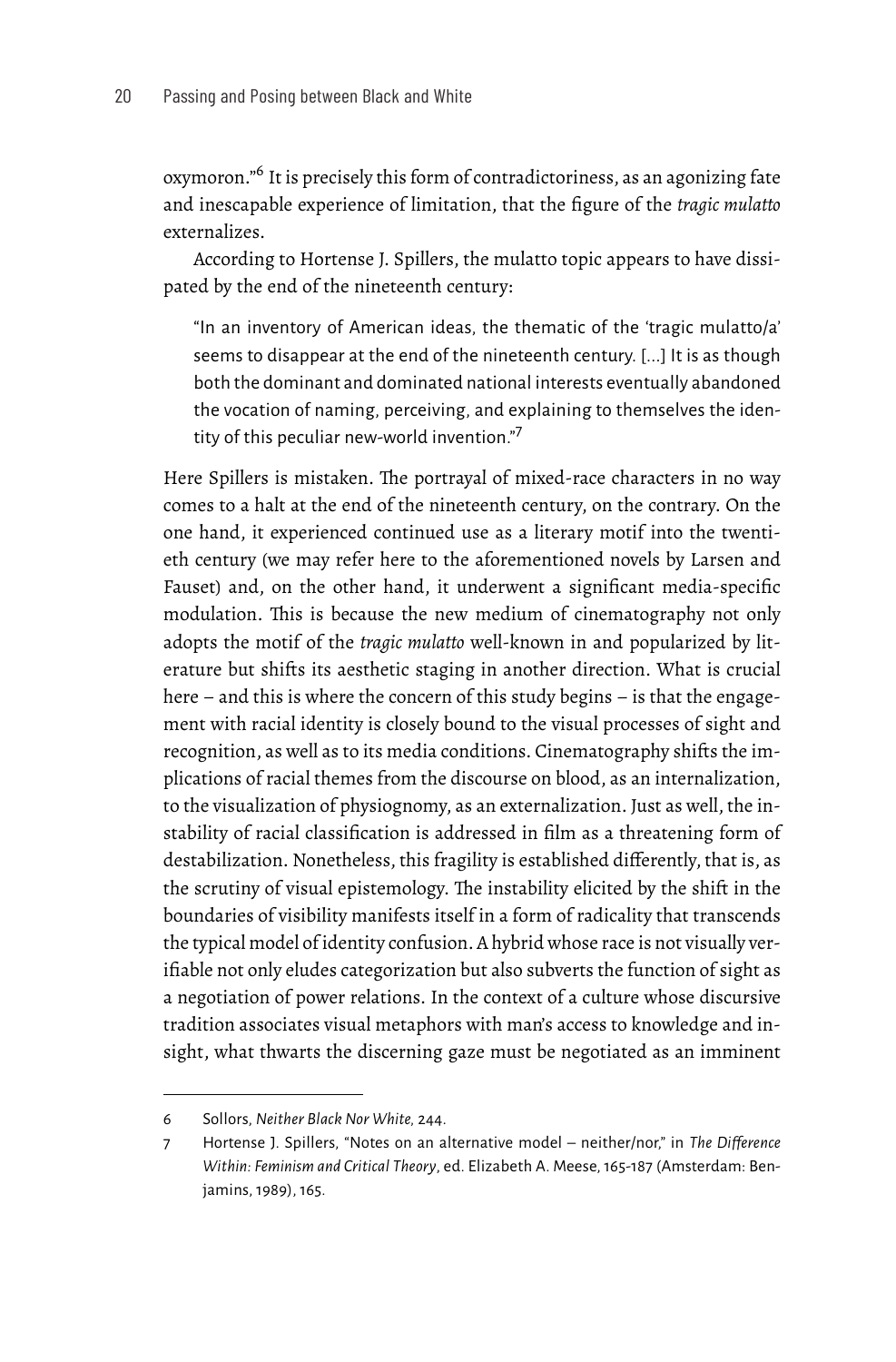oxymoron."[6](#page-13-0) It is precisely this form of contradictoriness, as an agonizing fate and inescapable experience of limitation, that the figure of the *tragic mulatto* externalizes.

According to Hortense J. Spillers, the mulatto topic appears to have dissipated by the end of the nineteenth century:

"In an inventory of American ideas, the thematic of the 'tragic mulatto/a' seems to disappear at the end of the nineteenth century. [...] It is as though both the dominant and dominated national interests eventually abandoned the vocation of naming, perceiving, and explaining to themselves the identity of this peculiar new-world invention."[7](#page-13-1)

Here Spillers is mistaken. The portrayal of mixed-race characters in no way comes to a halt at the end of the nineteenth century, on the contrary. On the one hand, it experienced continued use as a literary motif into the twentieth century (we may refer here to the aforementioned novels by Larsen and Fauset) and, on the other hand, it underwent a significant media-specific modulation. This is because the new medium of cinematography not only adopts the motif of the *tragic mulatto* well-known in and popularized by literature but shifts its aesthetic staging in another direction. What is crucial here – and this is where the concern of this study begins – is that the engagement with racial identity is closely bound to the visual processes of sight and recognition, as well as to its media conditions. Cinematography shifts the implications of racial themes from the discourse on blood, as an internalization, to the visualization of physiognomy, as an externalization. Just as well, the instability of racial classification is addressed in film as a threatening form of destabilization. Nonetheless, this fragility is established differently, that is, as the scrutiny of visual epistemology. The instability elicited by the shift in the boundaries of visibility manifests itself in a form of radicality that transcends the typical model of identity confusion. A hybrid whose race is not visually verifiable not only eludes categorization but also subverts the function of sight as a negotiation of power relations. In the context of a culture whose discursive tradition associates visual metaphors with man's access to knowledge and insight, what thwarts the discerning gaze must be negotiated as an imminent

<span id="page-13-1"></span><span id="page-13-0"></span><sup>6</sup> Sollors, *Neither Black Nor White,* 244.

<sup>7</sup> Hortense J. Spillers, "Notes on an alternative model – neither/nor," in *The Difference Within: Feminism and Critical Theory*, ed. Elizabeth A. Meese, 165-187 (Amsterdam: Benjamins, 1989), 165.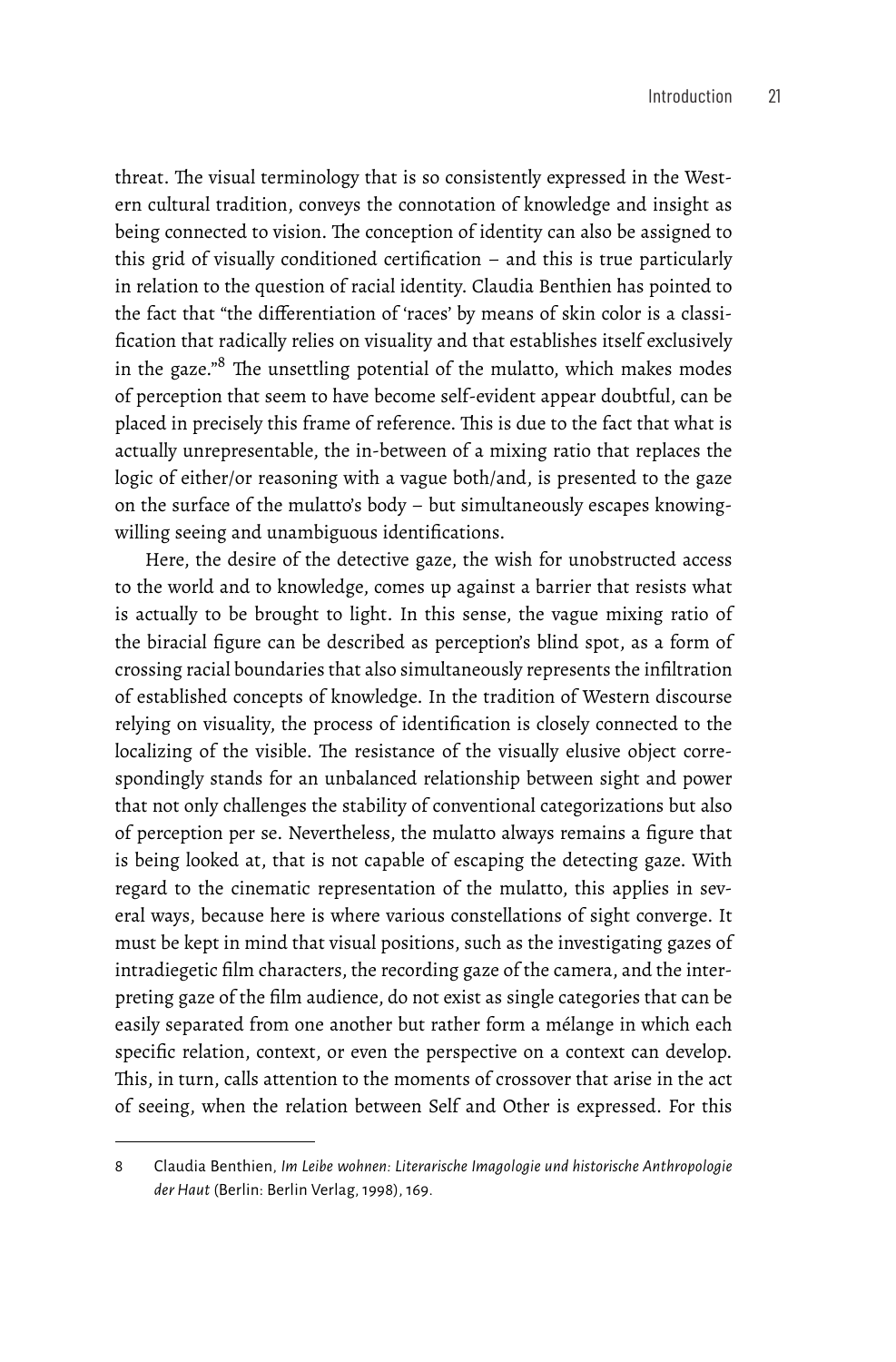threat. The visual terminology that is so consistently expressed in the Western cultural tradition, conveys the connotation of knowledge and insight as being connected to vision. The conception of identity can also be assigned to this grid of visually conditioned certification – and this is true particularly in relation to the question of racial identity. Claudia Benthien has pointed to the fact that "the differentiation of 'races' by means of skin color is a classification that radically relies on visuality and that establishes itself exclusively in the gaze."[8](#page-14-0) The unsettling potential of the mulatto, which makes modes of perception that seem to have become self-evident appear doubtful, can be placed in precisely this frame of reference. This is due to the fact that what is actually unrepresentable, the in-between of a mixing ratio that replaces the logic of either/or reasoning with a vague both/and, is presented to the gaze on the surface of the mulatto's body – but simultaneously escapes knowingwilling seeing and unambiguous identifications.

Here, the desire of the detective gaze, the wish for unobstructed access to the world and to knowledge, comes up against a barrier that resists what is actually to be brought to light. In this sense, the vague mixing ratio of the biracial figure can be described as perception's blind spot, as a form of crossing racial boundaries that also simultaneously represents the infiltration of established concepts of knowledge. In the tradition of Western discourse relying on visuality, the process of identification is closely connected to the localizing of the visible. The resistance of the visually elusive object correspondingly stands for an unbalanced relationship between sight and power that not only challenges the stability of conventional categorizations but also of perception per se. Nevertheless, the mulatto always remains a figure that is being looked at, that is not capable of escaping the detecting gaze. With regard to the cinematic representation of the mulatto, this applies in several ways, because here is where various constellations of sight converge. It must be kept in mind that visual positions, such as the investigating gazes of intradiegetic film characters, the recording gaze of the camera, and the interpreting gaze of the film audience, do not exist as single categories that can be easily separated from one another but rather form a mélange in which each specific relation, context, or even the perspective on a context can develop. This, in turn, calls attention to the moments of crossover that arise in the act of seeing, when the relation between Self and Other is expressed. For this

<span id="page-14-0"></span><sup>8</sup> Claudia Benthien, *Im Leibe wohnen: Literarische Imagologie und historische Anthropologie der Haut* (Berlin: Berlin Verlag, 1998), 169.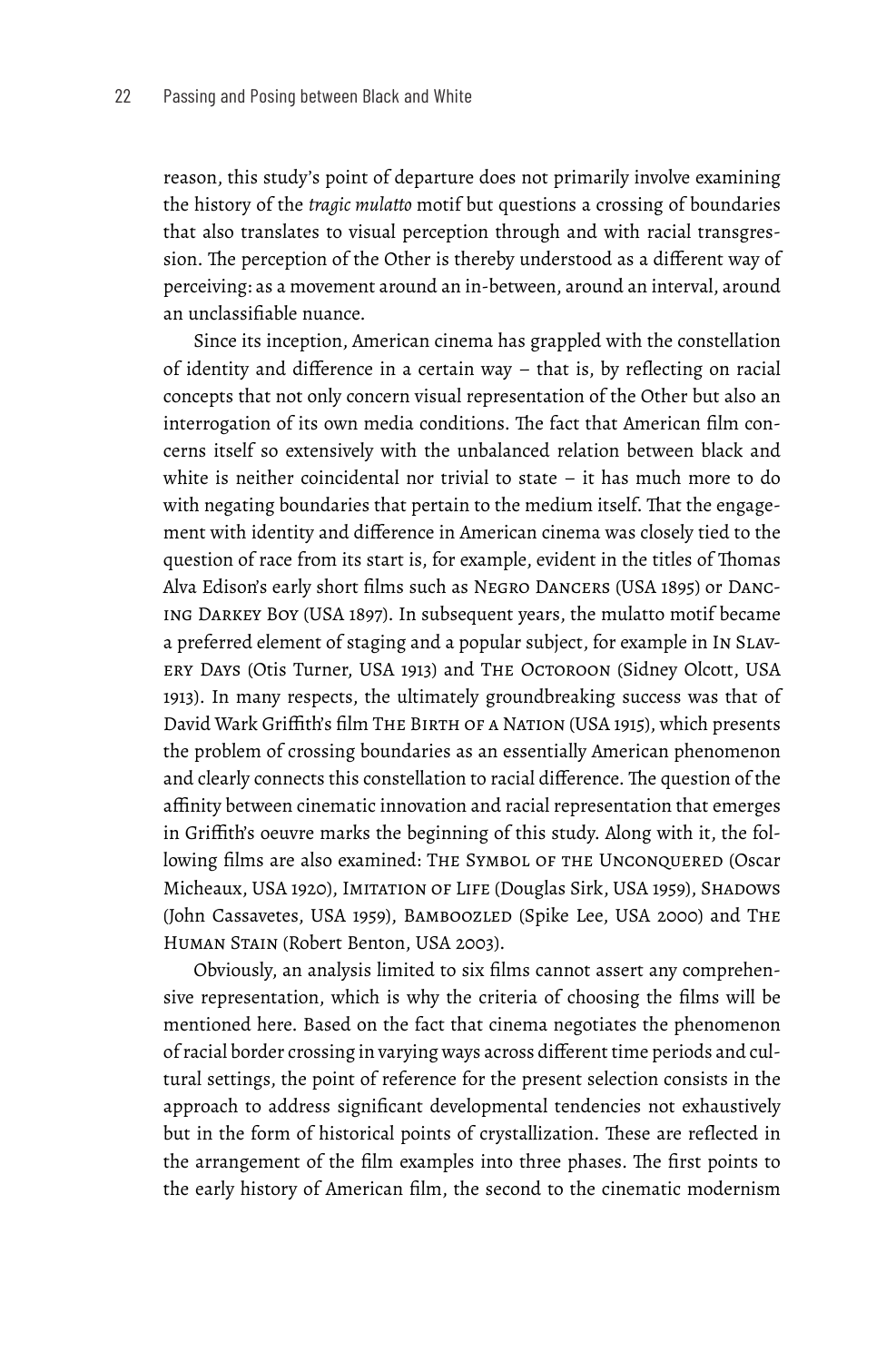reason, this study's point of departure does not primarily involve examining the history of the *tragic mulatto* motif but questions a crossing of boundaries that also translates to visual perception through and with racial transgression. The perception of the Other is thereby understood as a different way of perceiving: as a movement around an in-between, around an interval, around an unclassifiable nuance.

Since its inception, American cinema has grappled with the constellation of identity and difference in a certain way – that is, by reflecting on racial concepts that not only concern visual representation of the Other but also an interrogation of its own media conditions. The fact that American film concerns itself so extensively with the unbalanced relation between black and white is neither coincidental nor trivial to state – it has much more to do with negating boundaries that pertain to the medium itself. That the engagement with identity and difference in American cinema was closely tied to the question of race from its start is, for example, evident in the titles of Thomas Alva Edison's early short films such as Negro Dancers (USA 1895) or Dancing Darkey Boy (USA 1897). In subsequent years, the mulatto motif became a preferred element of staging and a popular subject, for example in In Slavery Days (Otis Turner, USA 1913) and The Octoroon (Sidney Olcott, USA 1913). In many respects, the ultimately groundbreaking success was that of David Wark Griffith's film The Birth of a Nation (USA 1915), which presents the problem of crossing boundaries as an essentially American phenomenon and clearly connects this constellation to racial difference. The question of the affinity between cinematic innovation and racial representation that emerges in Griffith's oeuvre marks the beginning of this study. Along with it, the following films are also examined: THE SYMBOL OF THE UNCONQUERED (Oscar Micheaux, USA 1920), Imitation of Life (Douglas Sirk, USA 1959), Shadows (John Cassavetes, USA 1959), BAMBOOZLED (Spike Lee, USA 2000) and THE Human Stain (Robert Benton, USA 2003).

Obviously, an analysis limited to six films cannot assert any comprehensive representation, which is why the criteria of choosing the films will be mentioned here. Based on the fact that cinema negotiates the phenomenon of racial border crossing in varying ways across different time periods and cultural settings, the point of reference for the present selection consists in the approach to address significant developmental tendencies not exhaustively but in the form of historical points of crystallization. These are reflected in the arrangement of the film examples into three phases. The first points to the early history of American film, the second to the cinematic modernism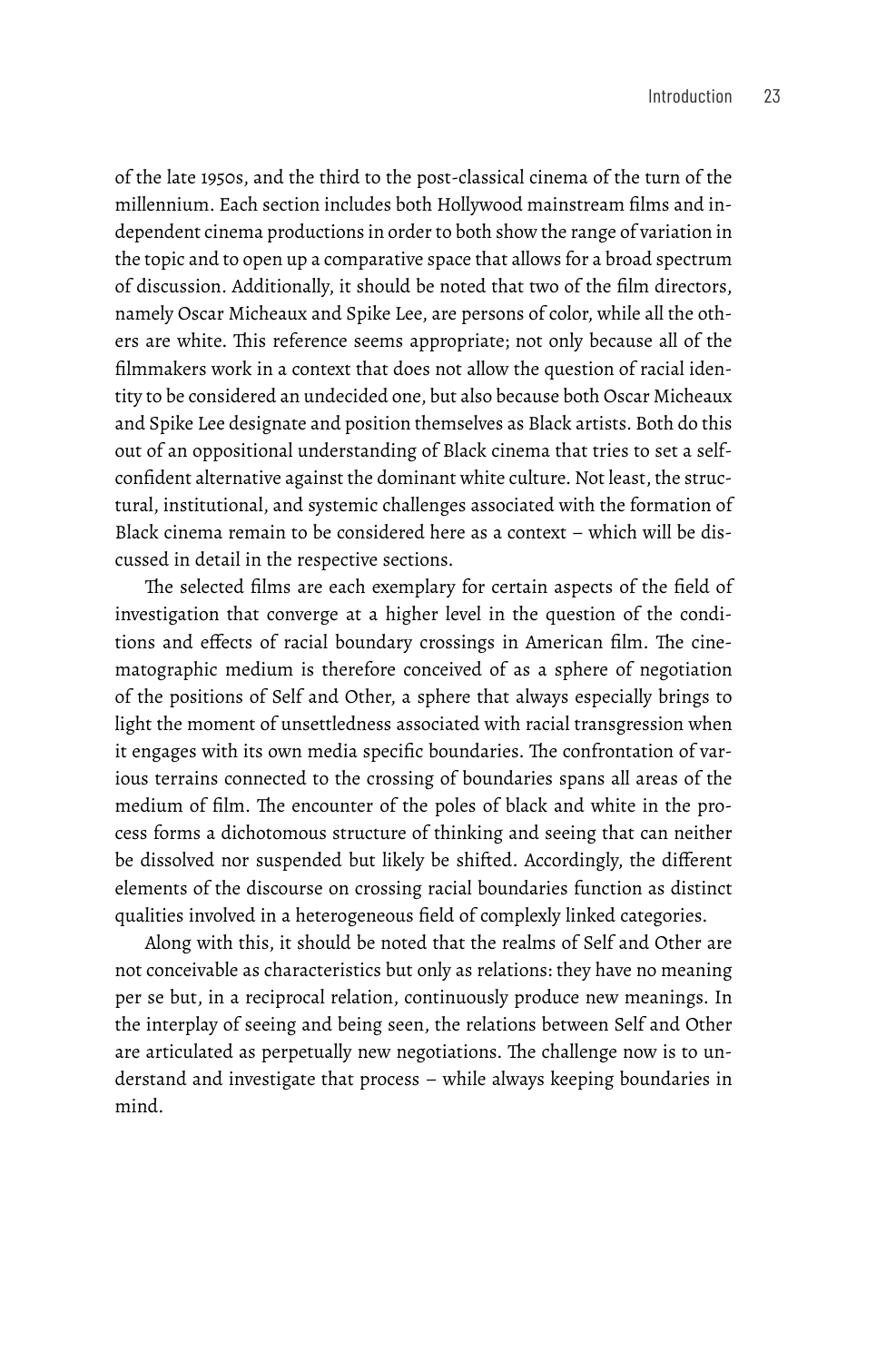of the late 1950s, and the third to the post-classical cinema of the turn of the millennium. Each section includes both Hollywood mainstream films and independent cinema productions in order to both show the range of variation in the topic and to open up a comparative space that allows for a broad spectrum of discussion. Additionally, it should be noted that two of the film directors, namely Oscar Micheaux and Spike Lee, are persons of color, while all the others are white. This reference seems appropriate; not only because all of the filmmakers work in a context that does not allow the question of racial identity to be considered an undecided one, but also because both Oscar Micheaux and Spike Lee designate and position themselves as Black artists. Both do this out of an oppositional understanding of Black cinema that tries to set a selfconfident alternative against the dominant white culture. Not least, the structural, institutional, and systemic challenges associated with the formation of Black cinema remain to be considered here as a context – which will be discussed in detail in the respective sections.

The selected films are each exemplary for certain aspects of the field of investigation that converge at a higher level in the question of the conditions and effects of racial boundary crossings in American film. The cinematographic medium is therefore conceived of as a sphere of negotiation of the positions of Self and Other, a sphere that always especially brings to light the moment of unsettledness associated with racial transgression when it engages with its own media specific boundaries. The confrontation of various terrains connected to the crossing of boundaries spans all areas of the medium of film. The encounter of the poles of black and white in the process forms a dichotomous structure of thinking and seeing that can neither be dissolved nor suspended but likely be shifted. Accordingly, the different elements of the discourse on crossing racial boundaries function as distinct qualities involved in a heterogeneous field of complexly linked categories.

Along with this, it should be noted that the realms of Self and Other are not conceivable as characteristics but only as relations: they have no meaning per se but, in a reciprocal relation, continuously produce new meanings. In the interplay of seeing and being seen, the relations between Self and Other are articulated as perpetually new negotiations. The challenge now is to understand and investigate that process – while always keeping boundaries in mind.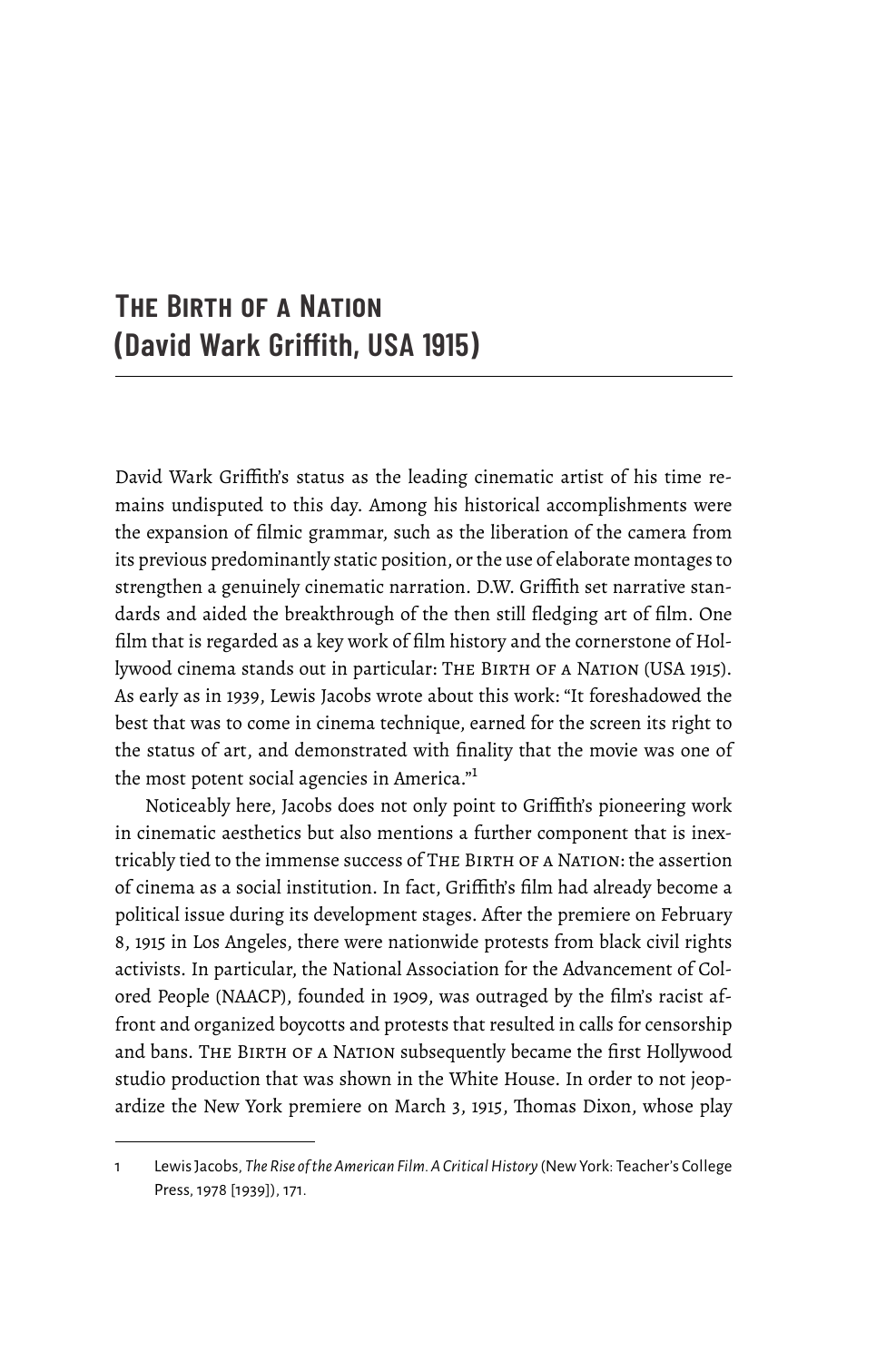## <span id="page-17-0"></span>**The Birth of a Nation (David Wark Griffith, USA 1915)**

David Wark Griffith's status as the leading cinematic artist of his time remains undisputed to this day. Among his historical accomplishments were the expansion of filmic grammar, such as the liberation of the camera from its previous predominantly static position, or the use of elaborate montages to strengthen a genuinely cinematic narration. D.W. Griffith set narrative standards and aided the breakthrough of the then still fledging art of film. One film that is regarded as a key work of film history and the cornerstone of Hollywood cinema stands out in particular: THE BIRTH OF A NATION (USA 1915). As early as in 1939, Lewis Jacobs wrote about this work: "It foreshadowed the best that was to come in cinema technique, earned for the screen its right to the status of art, and demonstrated with finality that the movie was one of the most potent social agencies in America."[1](#page-17-1)

Noticeably here, Jacobs does not only point to Griffith's pioneering work in cinematic aesthetics but also mentions a further component that is inextricably tied to the immense success of The Birth of a Nation: the assertion of cinema as a social institution. In fact, Griffith's film had already become a political issue during its development stages. After the premiere on February 8, 1915 in Los Angeles, there were nationwide protests from black civil rights activists. In particular, the National Association for the Advancement of Colored People (NAACP), founded in 1909, was outraged by the film's racist affront and organized boycotts and protests that resulted in calls for censorship and bans. THE BIRTH OF A NATION subsequently became the first Hollywood studio production that was shown in the White House. In order to not jeopardize the New York premiere on March 3, 1915, Thomas Dixon, whose play

<span id="page-17-1"></span><sup>1</sup> Lewis Jacobs, *The Rise of the American Film. A Critical History* (New York: Teacher's College Press, 1978 [1939]), 171.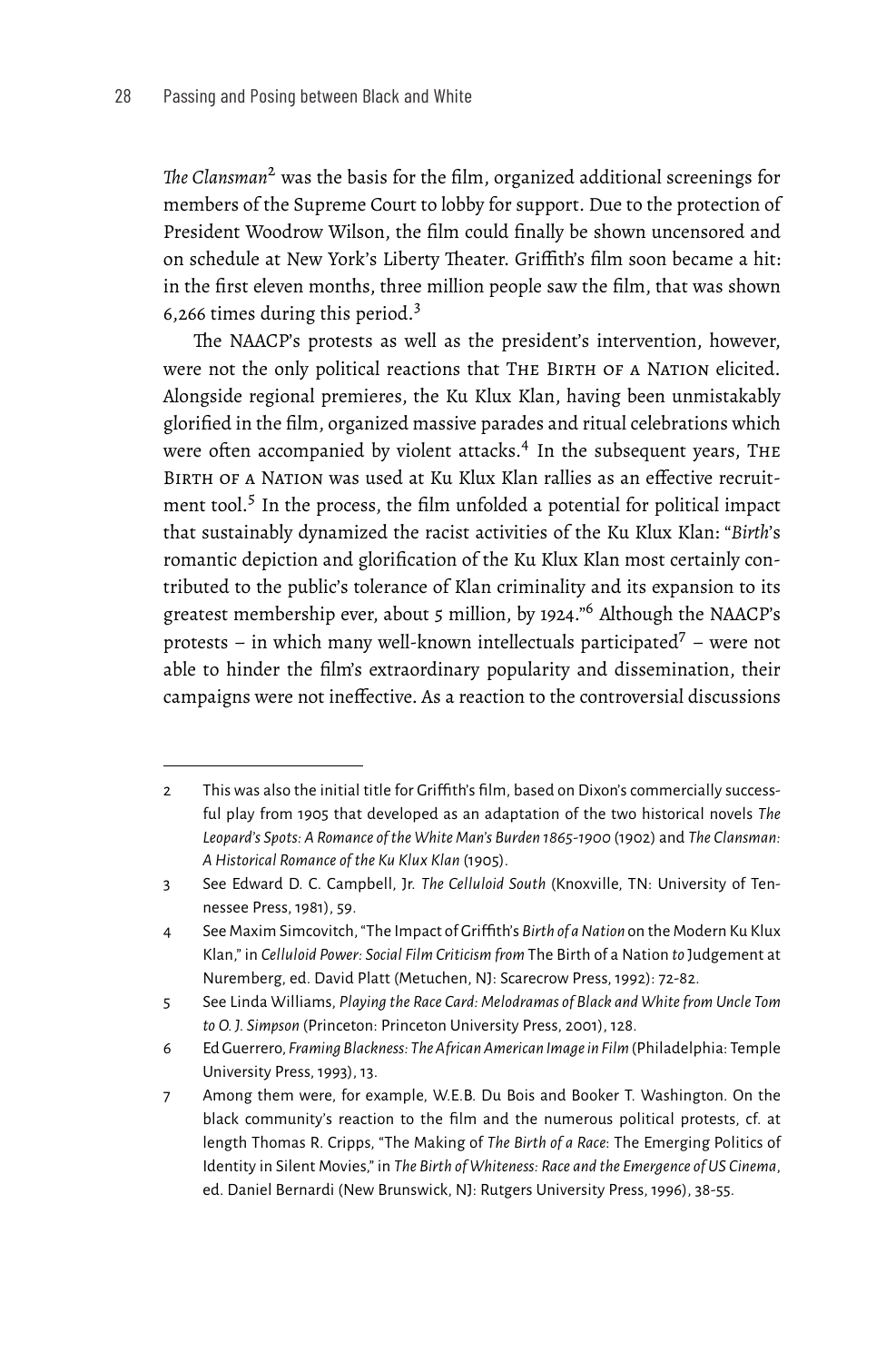*The Clansman*[2](#page-18-0) was the basis for the film, organized additional screenings for members of the Supreme Court to lobby for support. Due to the protection of President Woodrow Wilson, the film could finally be shown uncensored and on schedule at New York's Liberty Theater. Griffith's film soon became a hit: in the first eleven months, three million people saw the film, that was shown 6,266 times during this period.[3](#page-18-1)

The NAACP's protests as well as the president's intervention, however, were not the only political reactions that THE BIRTH OF A NATION elicited. Alongside regional premieres, the Ku Klux Klan, having been unmistakably glorified in the film, organized massive parades and ritual celebrations which were often accompanied by violent attacks.<sup>[4](#page-18-2)</sup> In the subsequent years, THE Birth of a Nation was used at Ku Klux Klan rallies as an effective recruit-ment tool.<sup>[5](#page-18-3)</sup> In the process, the film unfolded a potential for political impact that sustainably dynamized the racist activities of the Ku Klux Klan: "*Birth*'s romantic depiction and glorification of the Ku Klux Klan most certainly contributed to the public's tolerance of Klan criminality and its expansion to its greatest membership ever, about 5 million, by 1924."<sup>[6](#page-18-4)</sup> Although the NAACP's protests – in which many well-known intellectuals participated<sup>[7](#page-18-5)</sup> – were not able to hinder the film's extraordinary popularity and dissemination, their campaigns were not ineffective. As a reaction to the controversial discussions

<span id="page-18-0"></span><sup>2</sup> This was also the initial title for Griffith's film, based on Dixon's commercially successful play from 1905 that developed as an adaptation of the two historical novels *The Leopard's Spots: A Romance of the White Man's Burden 1865-1900* (1902) and *The Clansman: A Historical Romance of the Ku Klux Klan* (1905).

<span id="page-18-1"></span><sup>3</sup> See Edward D. C. Campbell, Jr. *The Celluloid South* (Knoxville, TN: University of Tennessee Press, 1981), 59.

<span id="page-18-2"></span><sup>4</sup> See Maxim Simcovitch, "The Impact of Griffith's *Birth of a Nation* on the Modern Ku Klux Klan," in *Celluloid Power: Social Film Criticism from* The Birth of a Nation *to* Judgement at Nuremberg, ed. David Platt (Metuchen, NJ: Scarecrow Press, 1992): 72-82.

<span id="page-18-3"></span><sup>5</sup> See Linda Williams, *Playing the Race Card: Melodramas of Black and White from Uncle Tom to O. J. Simpson* (Princeton: Princeton University Press, 2001), 128.

<span id="page-18-4"></span><sup>6</sup> Ed Guerrero, *Framing Blackness: The African American Image in Film*(Philadelphia: Temple University Press, 1993), 13.

<span id="page-18-5"></span><sup>7</sup> Among them were, for example, W.E.B. Du Bois and Booker T. Washington. On the black community's reaction to the film and the numerous political protests, cf. at length Thomas R. Cripps, "The Making of *The Birth of a Race*: The Emerging Politics of Identity in Silent Movies," in *The Birth of Whiteness: Race and the Emergence of US Cinema*, ed. Daniel Bernardi (New Brunswick, NJ: Rutgers University Press, 1996), 38-55.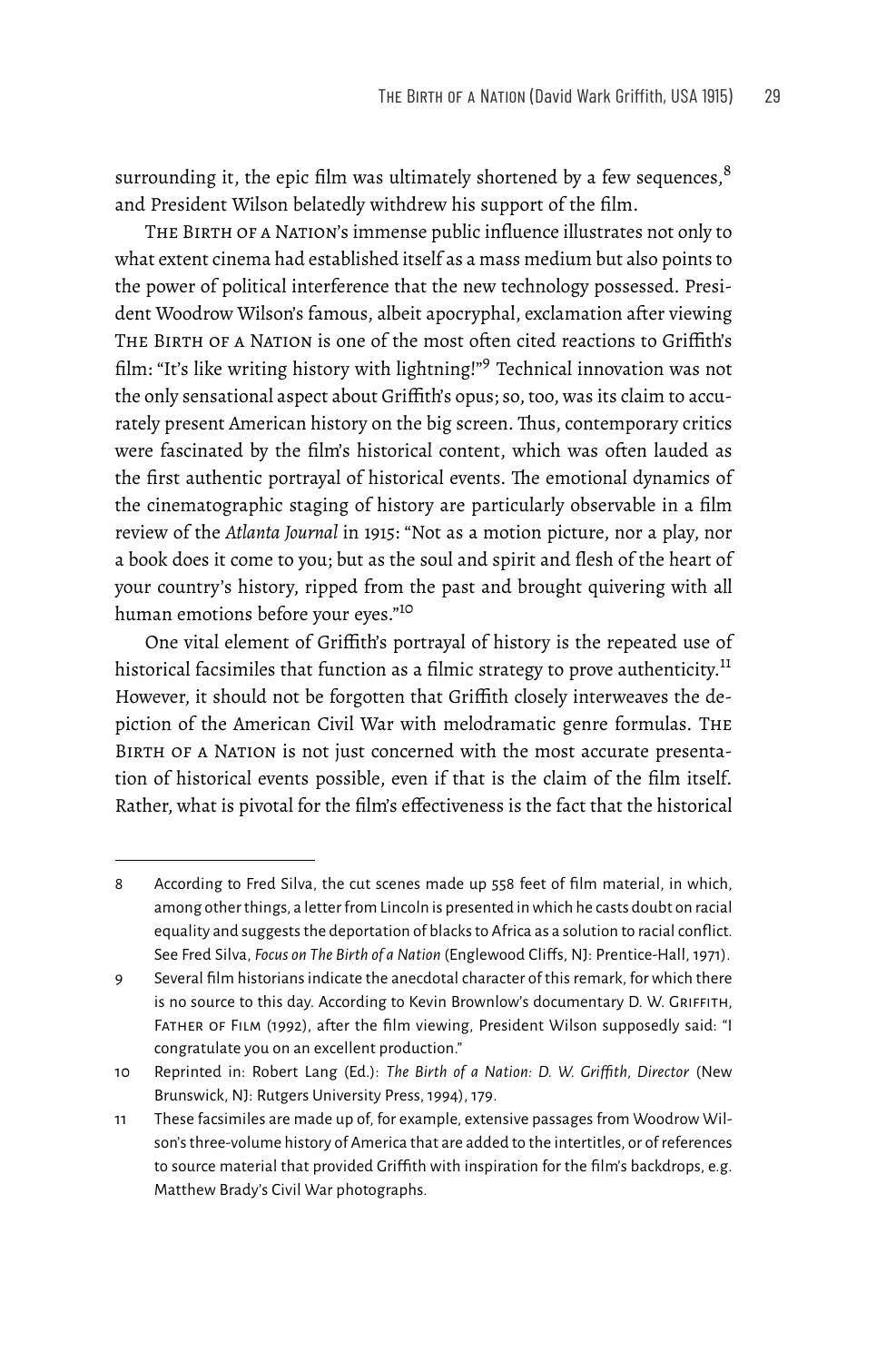surrounding it, the epic film was ultimately shortened by a few sequences, $8$ and President Wilson belatedly withdrew his support of the film.

THE BIRTH OF A NATION's immense public influence illustrates not only to what extent cinema had established itself as a mass medium but also points to the power of political interference that the new technology possessed. President Woodrow Wilson's famous, albeit apocryphal, exclamation after viewing THE BIRTH OF A NATION is one of the most often cited reactions to Griffith's film: "It's like writing history with lightning!"<sup>[9](#page-19-1)</sup> Technical innovation was not the only sensational aspect about Griffith's opus; so, too, was its claim to accurately present American history on the big screen. Thus, contemporary critics were fascinated by the film's historical content, which was often lauded as the first authentic portrayal of historical events. The emotional dynamics of the cinematographic staging of history are particularly observable in a film review of the *Atlanta Journal* in 1915: "Not as a motion picture, nor a play, nor a book does it come to you; but as the soul and spirit and flesh of the heart of your country's history, ripped from the past and brought quivering with all human emotions before your eyes."[10](#page-19-2)

One vital element of Griffith's portrayal of history is the repeated use of historical facsimiles that function as a filmic strategy to prove authenticity.<sup>[11](#page-19-3)</sup> However, it should not be forgotten that Griffith closely interweaves the depiction of the American Civil War with melodramatic genre formulas. The BIRTH OF A NATION is not just concerned with the most accurate presentation of historical events possible, even if that is the claim of the film itself. Rather, what is pivotal for the film's effectiveness is the fact that the historical

<span id="page-19-0"></span><sup>8</sup> According to Fred Silva, the cut scenes made up 558 feet of film material, in which, among other things, a letter from Lincoln is presented in which he casts doubt on racial equality and suggests the deportation of blacks to Africa as a solution to racial conflict. See Fred Silva, *Focus on The Birth of a Nation* (Englewood Cliffs, NJ: Prentice-Hall, 1971).

<span id="page-19-1"></span><sup>9</sup> Several film historians indicate the anecdotal character of this remark, for which there is no source to this day. According to Kevin Brownlow's documentary D. W. Griffith, Father of Film (1992), after the film viewing, President Wilson supposedly said: "I congratulate you on an excellent production."

<span id="page-19-2"></span><sup>10</sup> Reprinted in: Robert Lang (Ed.): *The Birth of a Nation: D. W. Griffith, Director* (New Brunswick, NJ: Rutgers University Press, 1994), 179.

<span id="page-19-3"></span><sup>11</sup> These facsimiles are made up of, for example, extensive passages from Woodrow Wilson's three-volume history of America that are added to the intertitles, or of references to source material that provided Griffith with inspiration for the film's backdrops, e.g. Matthew Brady's Civil War photographs.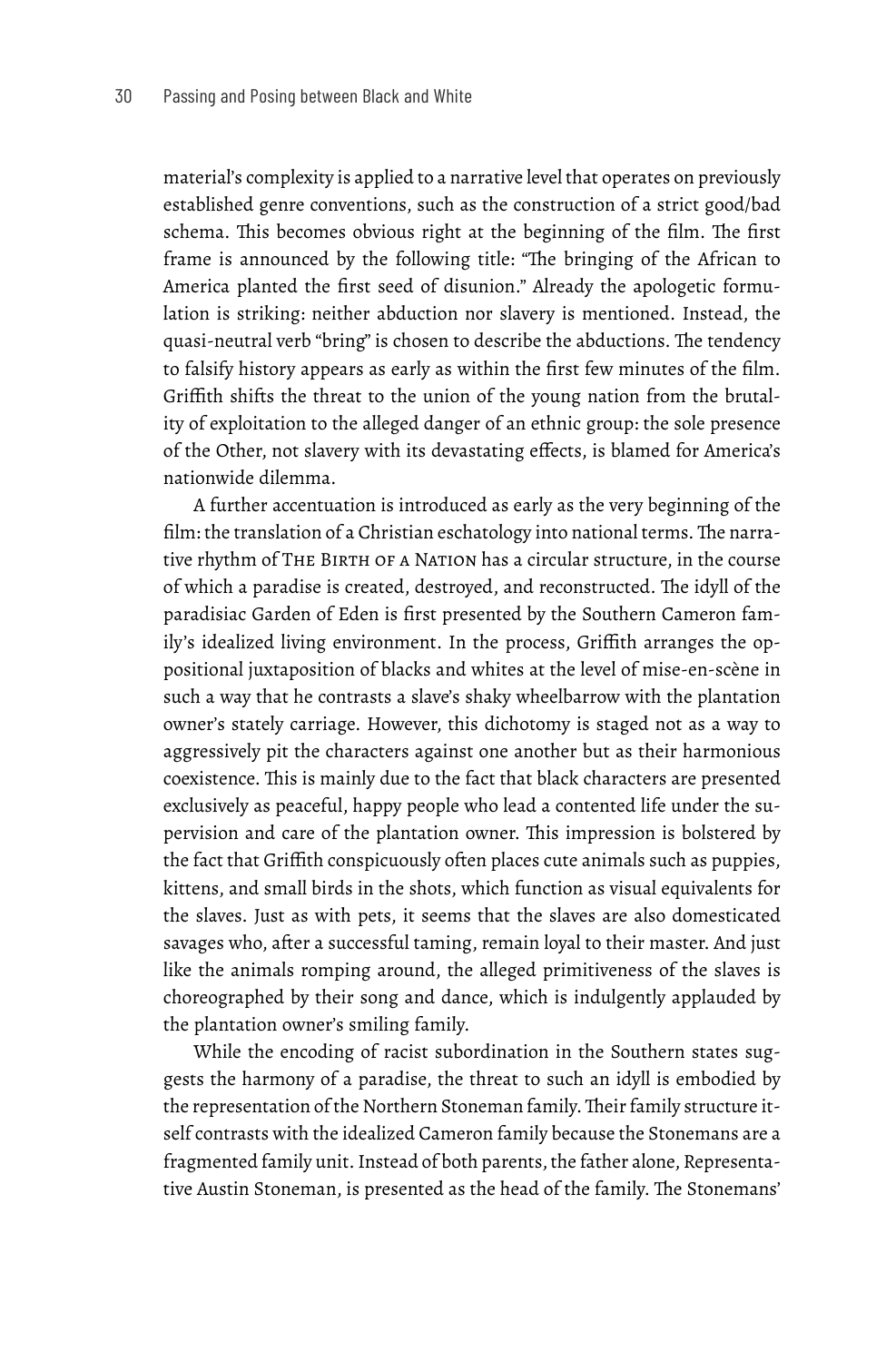material's complexity is applied to a narrative level that operates on previously established genre conventions, such as the construction of a strict good/bad schema. This becomes obvious right at the beginning of the film. The first frame is announced by the following title: "The bringing of the African to America planted the first seed of disunion." Already the apologetic formulation is striking: neither abduction nor slavery is mentioned. Instead, the quasi-neutral verb "bring" is chosen to describe the abductions. The tendency to falsify history appears as early as within the first few minutes of the film. Griffith shifts the threat to the union of the young nation from the brutality of exploitation to the alleged danger of an ethnic group: the sole presence of the Other, not slavery with its devastating effects, is blamed for America's nationwide dilemma.

A further accentuation is introduced as early as the very beginning of the film: the translation of a Christian eschatology into national terms. The narrative rhythm of THE BIRTH OF A NATION has a circular structure, in the course of which a paradise is created, destroyed, and reconstructed. The idyll of the paradisiac Garden of Eden is first presented by the Southern Cameron family's idealized living environment. In the process, Griffith arranges the oppositional juxtaposition of blacks and whites at the level of mise-en-scène in such a way that he contrasts a slave's shaky wheelbarrow with the plantation owner's stately carriage. However, this dichotomy is staged not as a way to aggressively pit the characters against one another but as their harmonious coexistence. This is mainly due to the fact that black characters are presented exclusively as peaceful, happy people who lead a contented life under the supervision and care of the plantation owner. This impression is bolstered by the fact that Griffith conspicuously often places cute animals such as puppies, kittens, and small birds in the shots, which function as visual equivalents for the slaves. Just as with pets, it seems that the slaves are also domesticated savages who, after a successful taming, remain loyal to their master. And just like the animals romping around, the alleged primitiveness of the slaves is choreographed by their song and dance, which is indulgently applauded by the plantation owner's smiling family.

While the encoding of racist subordination in the Southern states suggests the harmony of a paradise, the threat to such an idyll is embodied by the representation of the Northern Stoneman family.Their family structure itself contrasts with the idealized Cameron family because the Stonemans are a fragmented family unit. Instead of both parents, the father alone, Representative Austin Stoneman, is presented as the head of the family. The Stonemans'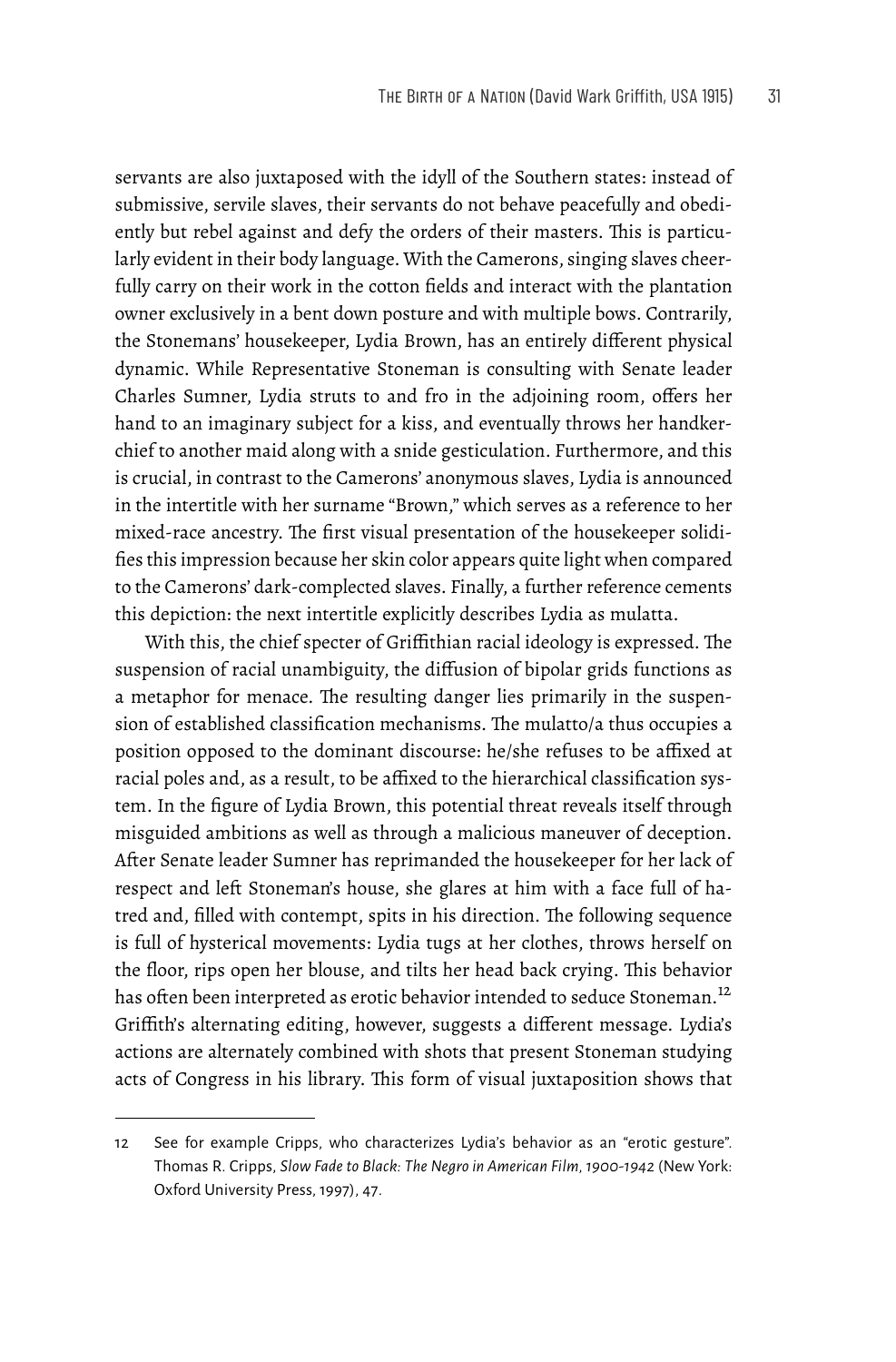servants are also juxtaposed with the idyll of the Southern states: instead of submissive, servile slaves, their servants do not behave peacefully and obediently but rebel against and defy the orders of their masters. This is particularly evident in their body language. With the Camerons, singing slaves cheerfully carry on their work in the cotton fields and interact with the plantation owner exclusively in a bent down posture and with multiple bows. Contrarily, the Stonemans' housekeeper, Lydia Brown, has an entirely different physical dynamic. While Representative Stoneman is consulting with Senate leader Charles Sumner, Lydia struts to and fro in the adjoining room, offers her hand to an imaginary subject for a kiss, and eventually throws her handkerchief to another maid along with a snide gesticulation. Furthermore, and this is crucial, in contrast to the Camerons' anonymous slaves, Lydia is announced in the intertitle with her surname "Brown," which serves as a reference to her mixed-race ancestry. The first visual presentation of the housekeeper solidifies this impression because her skin color appears quite light when compared to the Camerons' dark-complected slaves. Finally, a further reference cements this depiction: the next intertitle explicitly describes Lydia as mulatta.

With this, the chief specter of Griffithian racial ideology is expressed. The suspension of racial unambiguity, the diffusion of bipolar grids functions as a metaphor for menace. The resulting danger lies primarily in the suspension of established classification mechanisms. The mulatto/a thus occupies a position opposed to the dominant discourse: he/she refuses to be affixed at racial poles and, as a result, to be affixed to the hierarchical classification system. In the figure of Lydia Brown, this potential threat reveals itself through misguided ambitions as well as through a malicious maneuver of deception. After Senate leader Sumner has reprimanded the housekeeper for her lack of respect and left Stoneman's house, she glares at him with a face full of hatred and, filled with contempt, spits in his direction. The following sequence is full of hysterical movements: Lydia tugs at her clothes, throws herself on the floor, rips open her blouse, and tilts her head back crying. This behavior has often been interpreted as erotic behavior intended to seduce Stoneman.<sup>[12](#page-21-0)</sup> Griffith's alternating editing, however, suggests a different message. Lydia's actions are alternately combined with shots that present Stoneman studying acts of Congress in his library. This form of visual juxtaposition shows that

<span id="page-21-0"></span><sup>12</sup> See for example Cripps, who characterizes Lydia's behavior as an "erotic gesture". Thomas R. Cripps, *Slow Fade to Black: The Negro in American Film, 1900-1942* (New York: Oxford University Press, 1997), 47.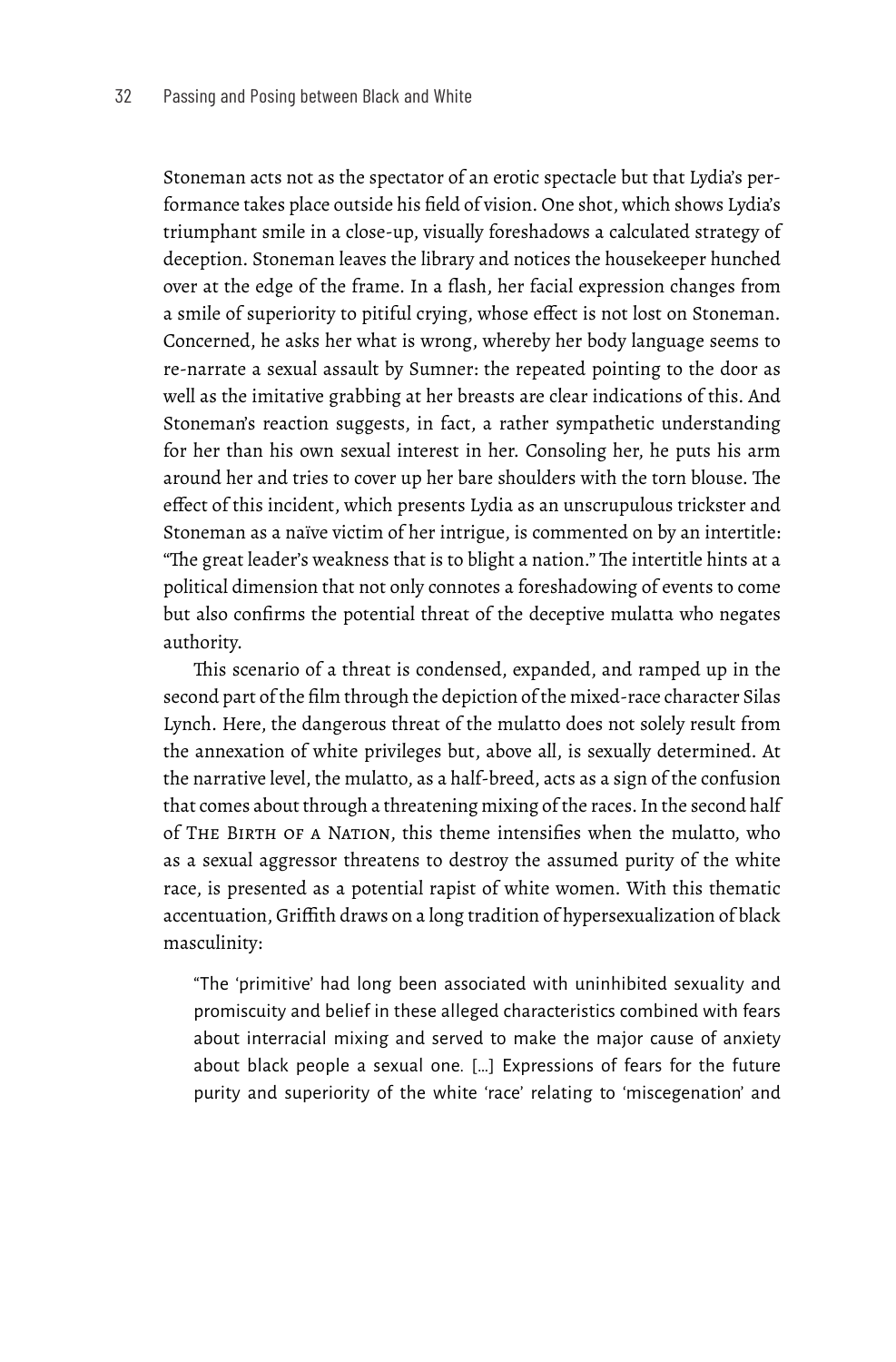Stoneman acts not as the spectator of an erotic spectacle but that Lydia's performance takes place outside his field of vision. One shot, which shows Lydia's triumphant smile in a close-up, visually foreshadows a calculated strategy of deception. Stoneman leaves the library and notices the housekeeper hunched over at the edge of the frame. In a flash, her facial expression changes from a smile of superiority to pitiful crying, whose effect is not lost on Stoneman. Concerned, he asks her what is wrong, whereby her body language seems to re-narrate a sexual assault by Sumner: the repeated pointing to the door as well as the imitative grabbing at her breasts are clear indications of this. And Stoneman's reaction suggests, in fact, a rather sympathetic understanding for her than his own sexual interest in her. Consoling her, he puts his arm around her and tries to cover up her bare shoulders with the torn blouse. The effect of this incident, which presents Lydia as an unscrupulous trickster and Stoneman as a naïve victim of her intrigue, is commented on by an intertitle: "The great leader's weakness that is to blight a nation." The intertitle hints at a political dimension that not only connotes a foreshadowing of events to come but also confirms the potential threat of the deceptive mulatta who negates authority.

This scenario of a threat is condensed, expanded, and ramped up in the second part of the film through the depiction of the mixed-race character Silas Lynch. Here, the dangerous threat of the mulatto does not solely result from the annexation of white privileges but, above all, is sexually determined. At the narrative level, the mulatto, as a half-breed, acts as a sign of the confusion that comes about through a threatening mixing of the races. In the second half of The Birth of a Nation, this theme intensifies when the mulatto, who as a sexual aggressor threatens to destroy the assumed purity of the white race, is presented as a potential rapist of white women. With this thematic accentuation, Griffith draws on a long tradition of hypersexualization of black masculinity:

"The 'primitive' had long been associated with uninhibited sexuality and promiscuity and belief in these alleged characteristics combined with fears about interracial mixing and served to make the major cause of anxiety about black people a sexual one. […] Expressions of fears for the future purity and superiority of the white 'race' relating to 'miscegenation' and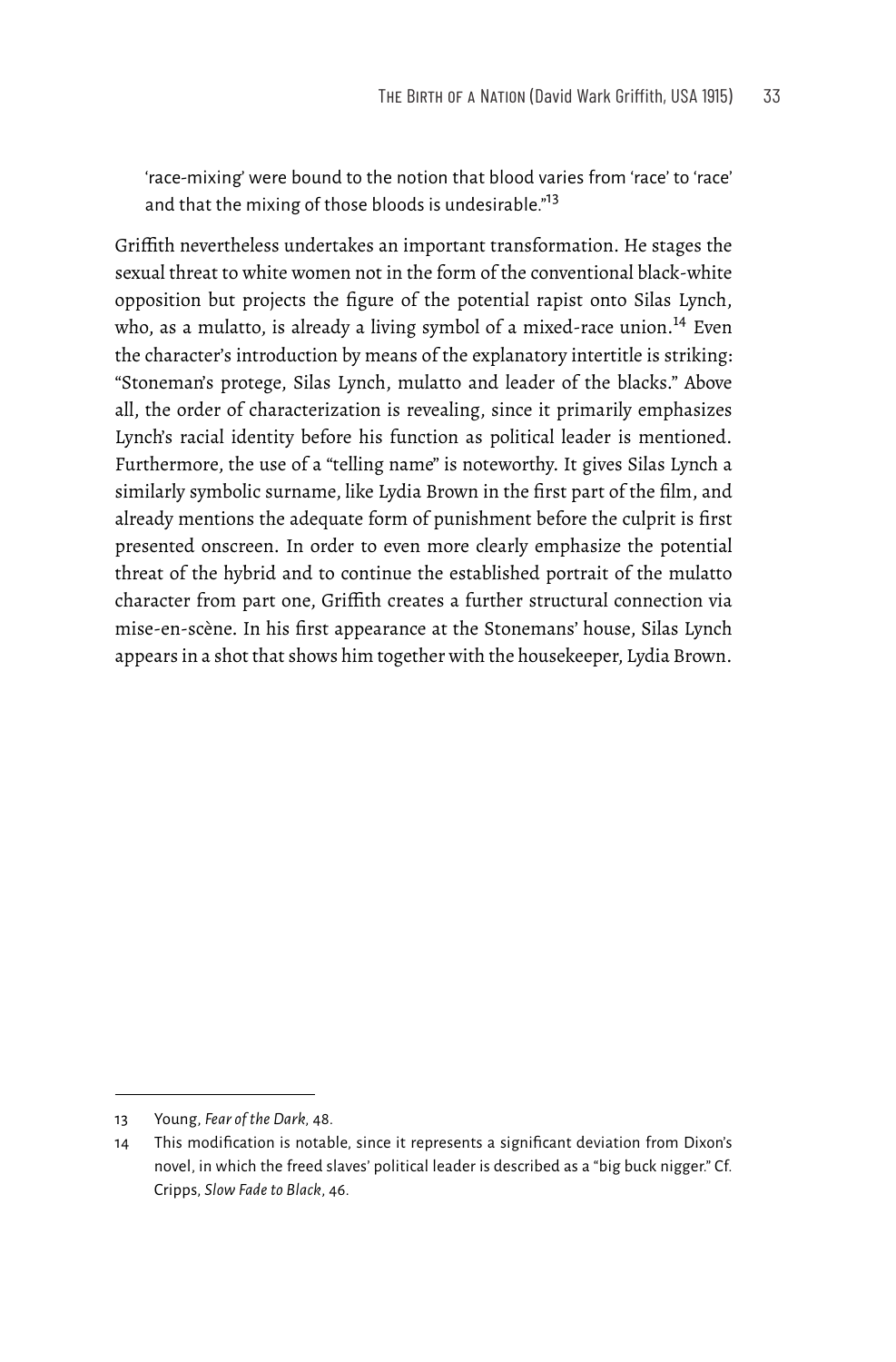'race-mixing' were bound to the notion that blood varies from 'race' to 'race' and that the mixing of those bloods is undesirable."<sup>[13](#page-23-0)</sup>

Griffith nevertheless undertakes an important transformation. He stages the sexual threat to white women not in the form of the conventional black-white opposition but projects the figure of the potential rapist onto Silas Lynch, who, as a mulatto, is already a living symbol of a mixed-race union.<sup>[14](#page-23-1)</sup> Even the character's introduction by means of the explanatory intertitle is striking: "Stoneman's protege, Silas Lynch, mulatto and leader of the blacks." Above all, the order of characterization is revealing, since it primarily emphasizes Lynch's racial identity before his function as political leader is mentioned. Furthermore, the use of a "telling name" is noteworthy. It gives Silas Lynch a similarly symbolic surname, like Lydia Brown in the first part of the film, and already mentions the adequate form of punishment before the culprit is first presented onscreen. In order to even more clearly emphasize the potential threat of the hybrid and to continue the established portrait of the mulatto character from part one, Griffith creates a further structural connection via mise-en-scène. In his first appearance at the Stonemans' house, Silas Lynch appears in a shot that shows him together with the housekeeper, Lydia Brown.

<span id="page-23-0"></span><sup>13</sup> Young, *Fear of the Dark,* 48.

<span id="page-23-1"></span><sup>14</sup> This modification is notable, since it represents a significant deviation from Dixon's novel, in which the freed slaves' political leader is described as a "big buck nigger." Cf. Cripps, *Slow Fade to Black*, 46.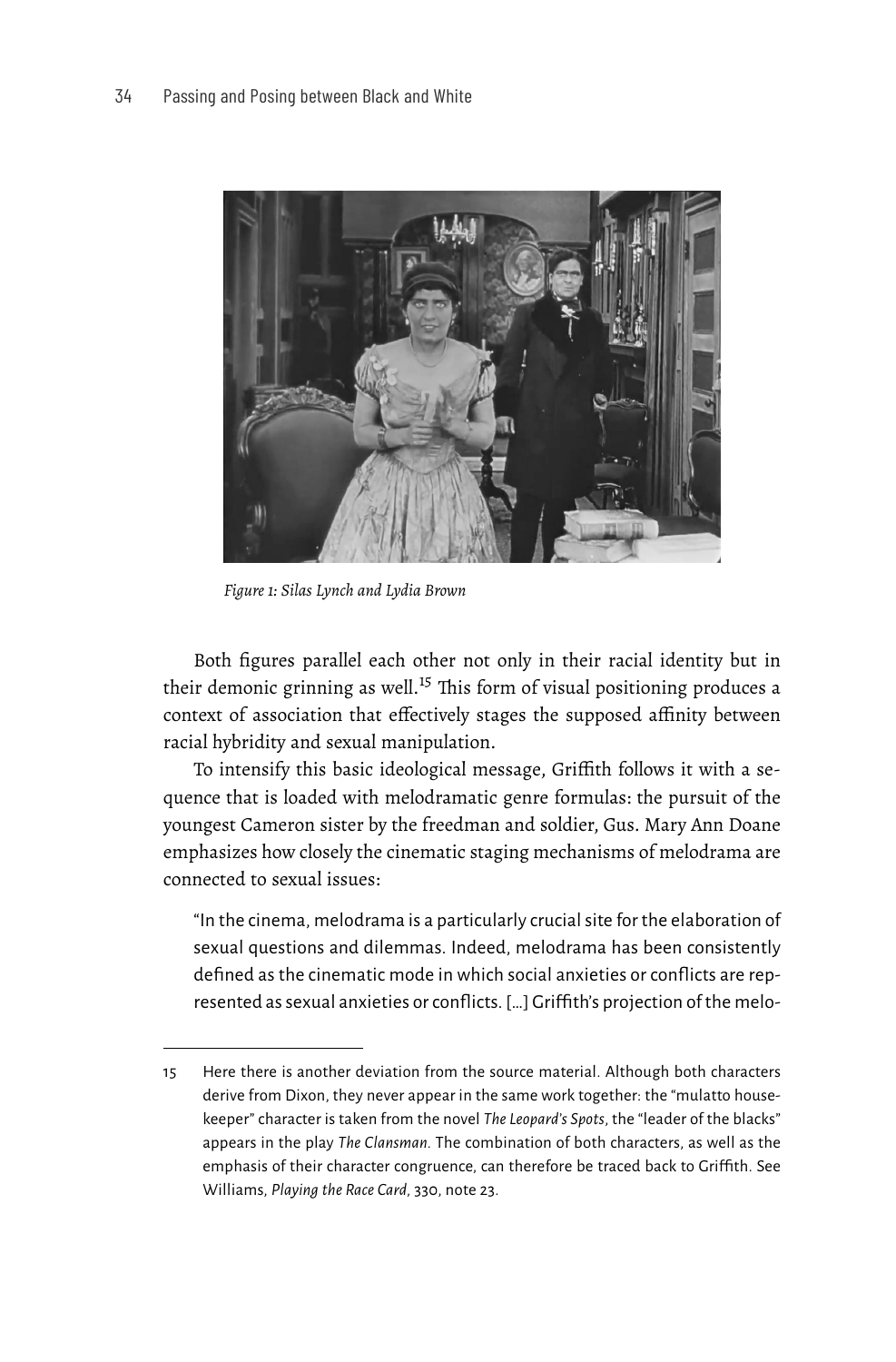

*Figure 1: Silas Lynch and Lydia Brown*

Both figures parallel each other not only in their racial identity but in their demonic grinning as well.<sup>[15](#page-24-0)</sup> This form of visual positioning produces a context of association that effectively stages the supposed affinity between racial hybridity and sexual manipulation.

To intensify this basic ideological message, Griffith follows it with a sequence that is loaded with melodramatic genre formulas: the pursuit of the youngest Cameron sister by the freedman and soldier, Gus. Mary Ann Doane emphasizes how closely the cinematic staging mechanisms of melodrama are connected to sexual issues:

"In the cinema, melodrama is a particularly crucial site for the elaboration of sexual questions and dilemmas. Indeed, melodrama has been consistently defined as the cinematic mode in which social anxieties or conflicts are represented as sexual anxieties or conflicts. […] Griffith's projection of the melo-

<span id="page-24-0"></span><sup>15</sup> Here there is another deviation from the source material. Although both characters derive from Dixon, they never appear in the same work together: the "mulatto housekeeper" character is taken from the novel *The Leopard's Spots*, the "leader of the blacks" appears in the play *The Clansman.* The combination of both characters, as well as the emphasis of their character congruence, can therefore be traced back to Griffith. See Williams, *Playing the Race Card,* 330, note 23.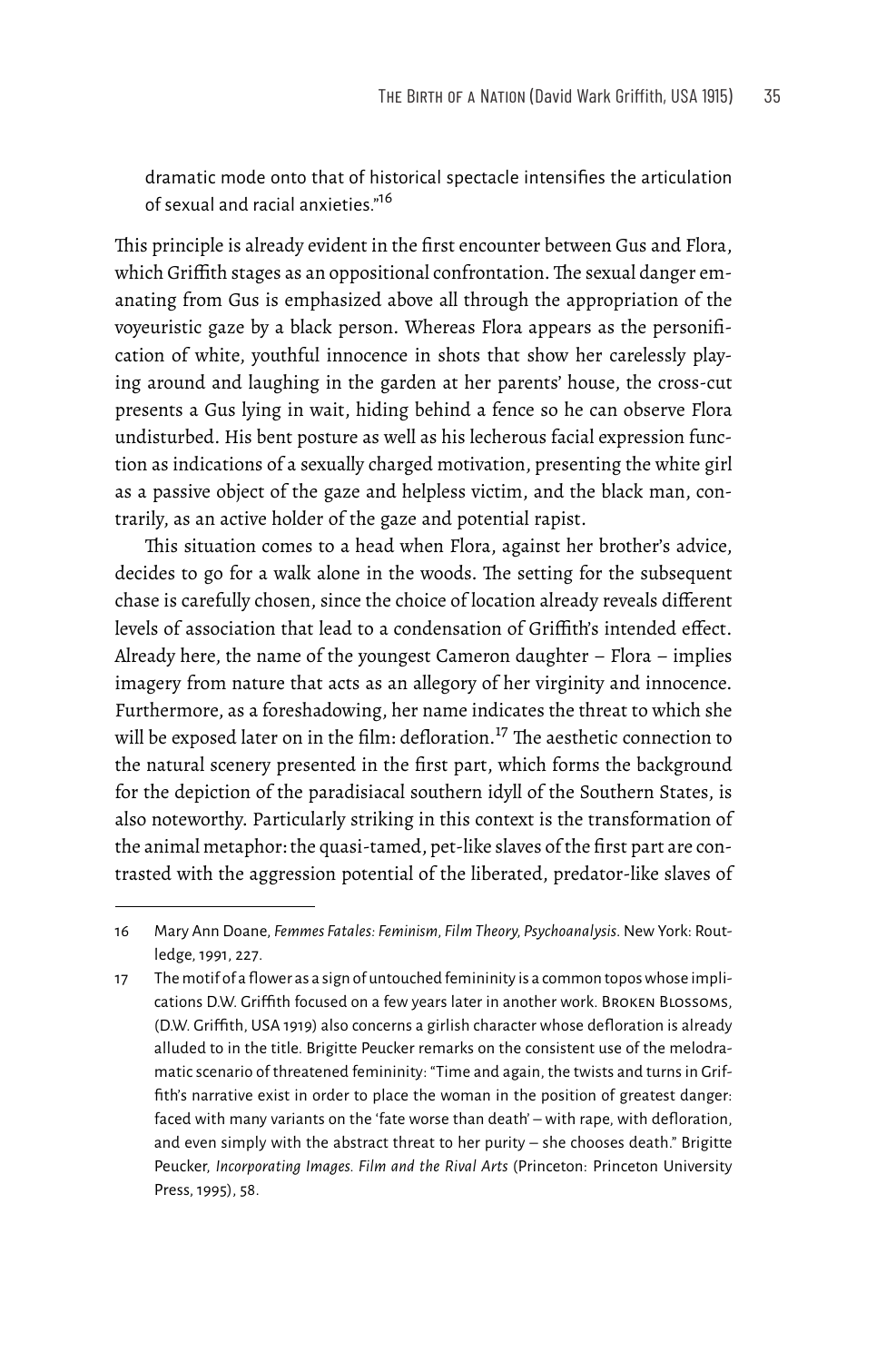dramatic mode onto that of historical spectacle intensifies the articulation of sexual and racial anxieties."[16](#page-25-0)

This principle is already evident in the first encounter between Gus and Flora, which Griffith stages as an oppositional confrontation. The sexual danger emanating from Gus is emphasized above all through the appropriation of the voyeuristic gaze by a black person. Whereas Flora appears as the personification of white, youthful innocence in shots that show her carelessly playing around and laughing in the garden at her parents' house, the cross-cut presents a Gus lying in wait, hiding behind a fence so he can observe Flora undisturbed. His bent posture as well as his lecherous facial expression function as indications of a sexually charged motivation, presenting the white girl as a passive object of the gaze and helpless victim, and the black man, contrarily, as an active holder of the gaze and potential rapist.

This situation comes to a head when Flora, against her brother's advice, decides to go for a walk alone in the woods. The setting for the subsequent chase is carefully chosen, since the choice of location already reveals different levels of association that lead to a condensation of Griffith's intended effect. Already here, the name of the youngest Cameron daughter – Flora – implies imagery from nature that acts as an allegory of her virginity and innocence. Furthermore, as a foreshadowing, her name indicates the threat to which she will be exposed later on in the film: defloration.<sup>[17](#page-25-1)</sup> The aesthetic connection to the natural scenery presented in the first part, which forms the background for the depiction of the paradisiacal southern idyll of the Southern States, is also noteworthy. Particularly striking in this context is the transformation of the animal metaphor: the quasi-tamed, pet-like slaves of the first part are contrasted with the aggression potential of the liberated, predator-like slaves of

<span id="page-25-0"></span><sup>16</sup> Mary Ann Doane, *Femmes Fatales: Feminism, Film Theory, Psychoanalysis*. New York: Routledge, 1991, 227.

<span id="page-25-1"></span><sup>17</sup> The motif of a flower as a sign of untouched femininity is a common topos whose implications D.W. Griffith focused on a few years later in another work. Broken Blossoms, (D.W. Griffith, USA 1919) also concerns a girlish character whose defloration is already alluded to in the title. Brigitte Peucker remarks on the consistent use of the melodramatic scenario of threatened femininity: "Time and again, the twists and turns in Griffith's narrative exist in order to place the woman in the position of greatest danger: faced with many variants on the 'fate worse than death' – with rape, with defloration, and even simply with the abstract threat to her purity – she chooses death." Brigitte Peucker, *Incorporating Images. Film and the Rival Arts* (Princeton: Princeton University Press, 1995), 58.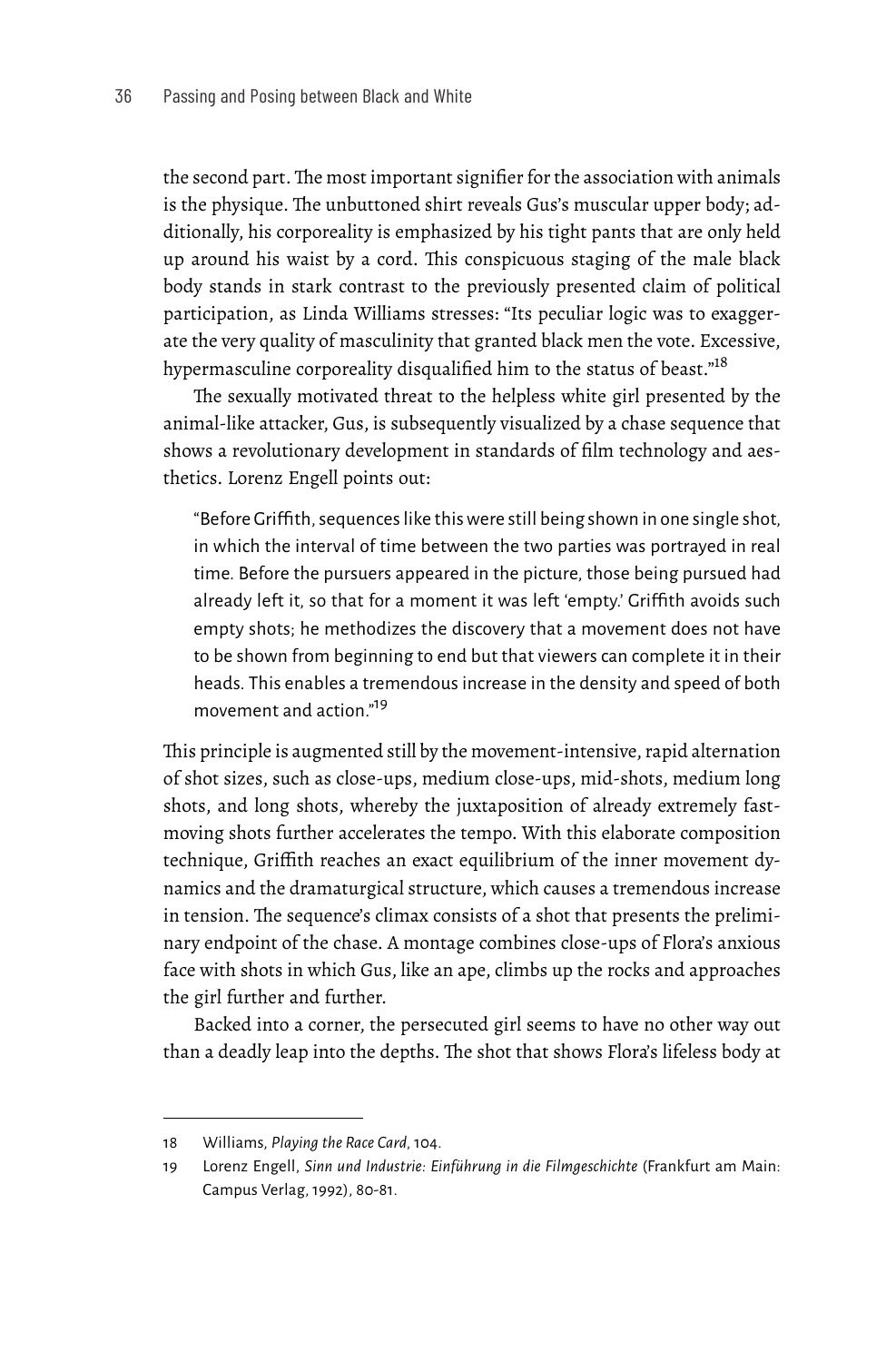the second part. The most important signifier for the association with animals is the physique. The unbuttoned shirt reveals Gus's muscular upper body; additionally, his corporeality is emphasized by his tight pants that are only held up around his waist by a cord. This conspicuous staging of the male black body stands in stark contrast to the previously presented claim of political participation, as Linda Williams stresses: "Its peculiar logic was to exaggerate the very quality of masculinity that granted black men the vote. Excessive, hypermasculine corporeality disqualified him to the status of beast."<sup>[18](#page-26-0)</sup>

The sexually motivated threat to the helpless white girl presented by the animal-like attacker, Gus, is subsequently visualized by a chase sequence that shows a revolutionary development in standards of film technology and aesthetics. Lorenz Engell points out:

"Before Griffith, sequences like this were still being shown in one single shot, in which the interval of time between the two parties was portrayed in real time. Before the pursuers appeared in the picture, those being pursued had already left it, so that for a moment it was left 'empty.' Griffith avoids such empty shots; he methodizes the discovery that a movement does not have to be shown from beginning to end but that viewers can complete it in their heads. This enables a tremendous increase in the density and speed of both movement and action."[19](#page-26-1)

This principle is augmented still by the movement-intensive, rapid alternation of shot sizes, such as close-ups, medium close-ups, mid-shots, medium long shots, and long shots, whereby the juxtaposition of already extremely fastmoving shots further accelerates the tempo. With this elaborate composition technique, Griffith reaches an exact equilibrium of the inner movement dynamics and the dramaturgical structure, which causes a tremendous increase in tension. The sequence's climax consists of a shot that presents the preliminary endpoint of the chase. A montage combines close-ups of Flora's anxious face with shots in which Gus, like an ape, climbs up the rocks and approaches the girl further and further.

Backed into a corner, the persecuted girl seems to have no other way out than a deadly leap into the depths. The shot that shows Flora's lifeless body at

<span id="page-26-0"></span><sup>18</sup> Williams, *Playing the Race Card,* 104.

<span id="page-26-1"></span><sup>19</sup> Lorenz Engell, *Sinn und Industrie: Einführung in die Filmgeschichte* (Frankfurt am Main: Campus Verlag, 1992), 80-81.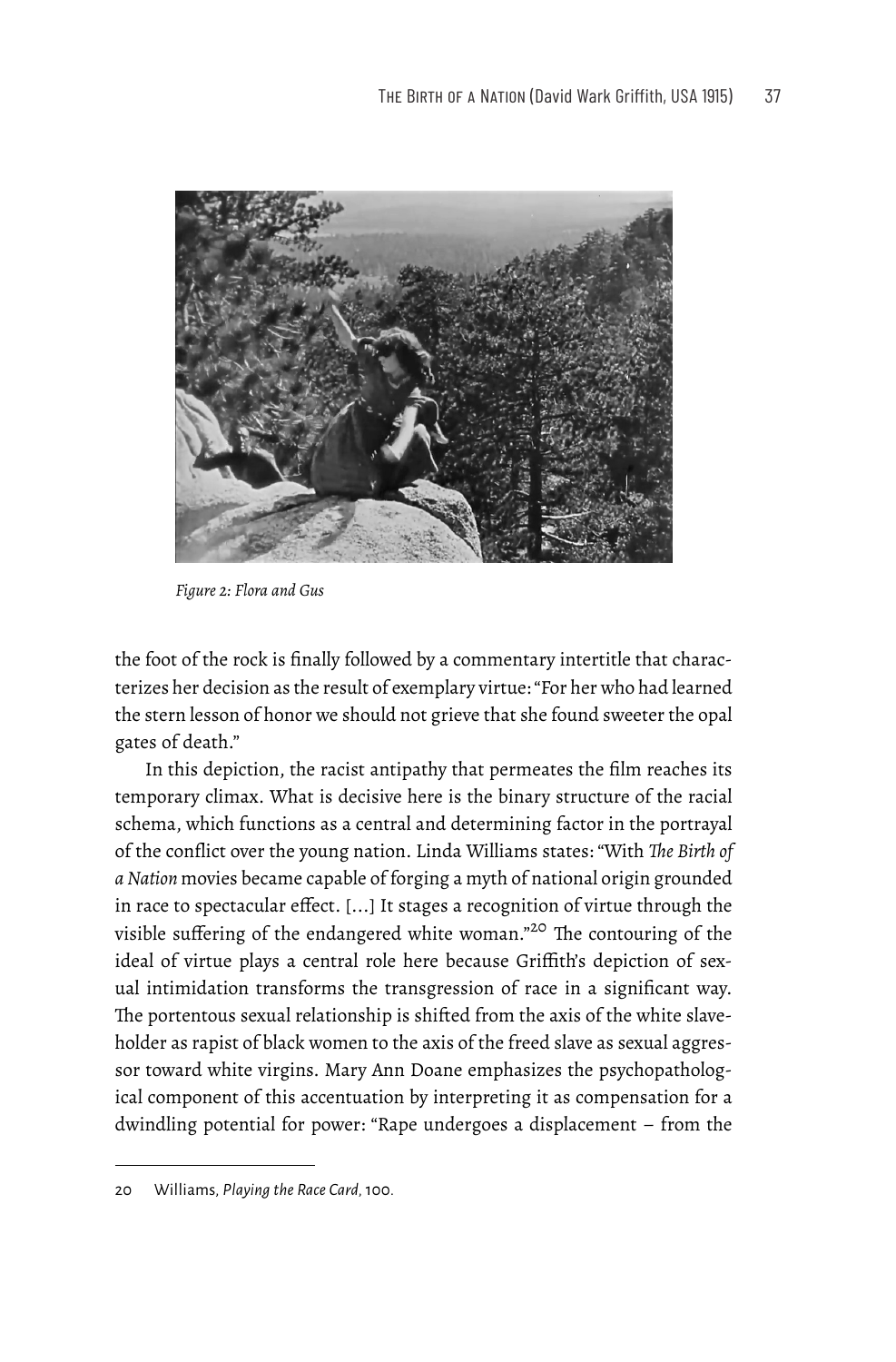

*Figure 2: Flora and Gus*

the foot of the rock is finally followed by a commentary intertitle that characterizes her decision as the result of exemplary virtue: "For her who had learned the stern lesson of honor we should not grieve that she found sweeter the opal gates of death."

In this depiction, the racist antipathy that permeates the film reaches its temporary climax. What is decisive here is the binary structure of the racial schema, which functions as a central and determining factor in the portrayal of the conflict over the young nation. Linda Williams states: "With *The Birth of a Nation* movies became capable of forging a myth of national origin grounded in race to spectacular effect. [...] It stages a recognition of virtue through the visible suffering of the endangered white woman."[20](#page-27-0) The contouring of the ideal of virtue plays a central role here because Griffith's depiction of sexual intimidation transforms the transgression of race in a significant way. The portentous sexual relationship is shifted from the axis of the white slaveholder as rapist of black women to the axis of the freed slave as sexual aggressor toward white virgins. Mary Ann Doane emphasizes the psychopathological component of this accentuation by interpreting it as compensation for a dwindling potential for power: "Rape undergoes a displacement – from the

<span id="page-27-0"></span><sup>20</sup> Williams, *Playing the Race Card,* 100.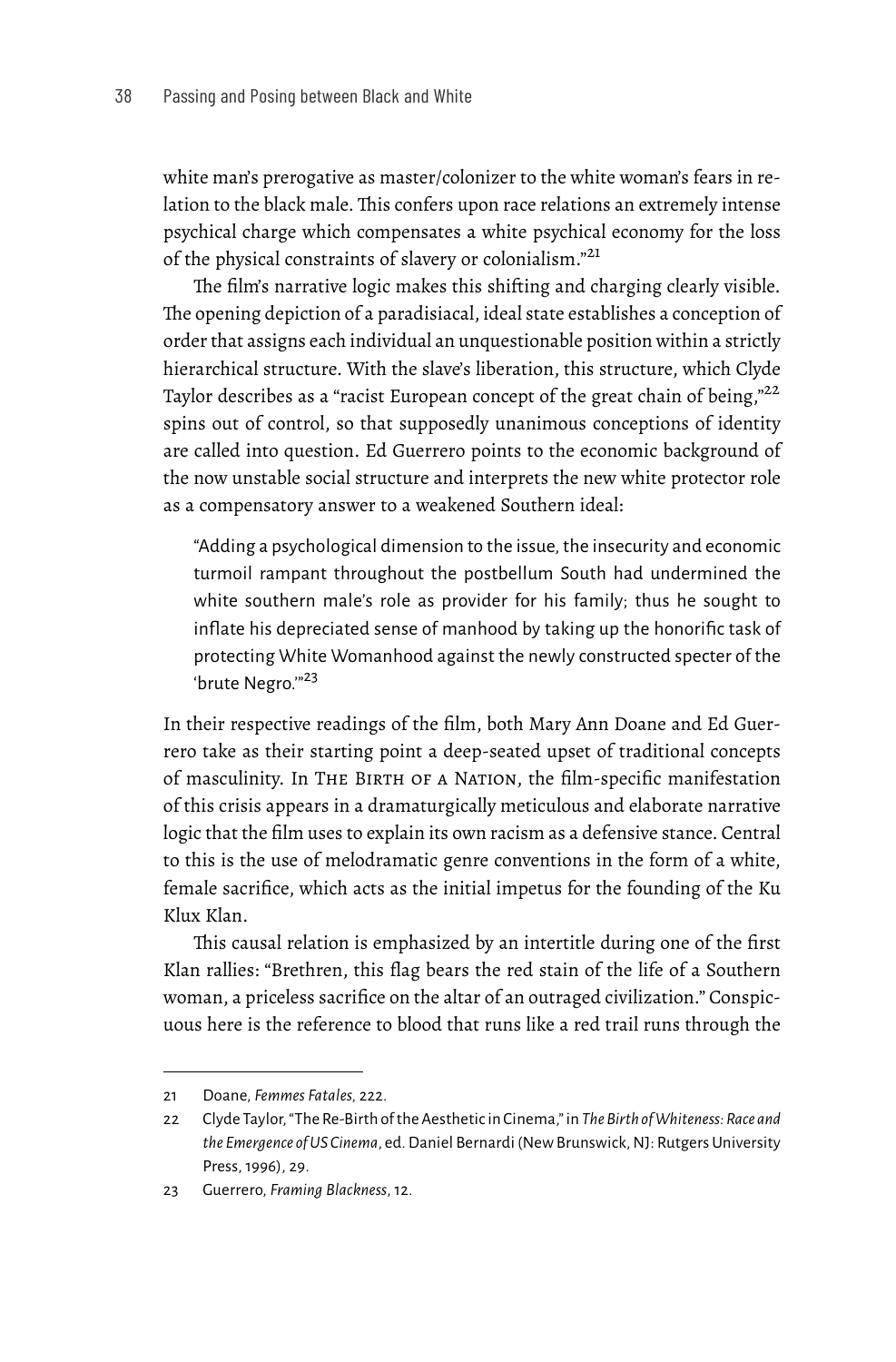white man's prerogative as master/colonizer to the white woman's fears in relation to the black male. This confers upon race relations an extremely intense psychical charge which compensates a white psychical economy for the loss of the physical constraints of slavery or colonialism."[21](#page-28-0)

The film's narrative logic makes this shifting and charging clearly visible. The opening depiction of a paradisiacal, ideal state establishes a conception of order that assigns each individual an unquestionable position within a strictly hierarchical structure. With the slave's liberation, this structure, which Clyde Taylor describes as a "racist European concept of the great chain of being," $^{22}$  $^{22}$  $^{22}$ spins out of control, so that supposedly unanimous conceptions of identity are called into question. Ed Guerrero points to the economic background of the now unstable social structure and interprets the new white protector role as a compensatory answer to a weakened Southern ideal:

"Adding a psychological dimension to the issue, the insecurity and economic turmoil rampant throughout the postbellum South had undermined the white southern male's role as provider for his family; thus he sought to inflate his depreciated sense of manhood by taking up the honorific task of protecting White Womanhood against the newly constructed specter of the 'brute Negro.'"[23](#page-28-2)

In their respective readings of the film, both Mary Ann Doane and Ed Guerrero take as their starting point a deep-seated upset of traditional concepts of masculinity. In The Birth of a Nation, the film-specific manifestation of this crisis appears in a dramaturgically meticulous and elaborate narrative logic that the film uses to explain its own racism as a defensive stance. Central to this is the use of melodramatic genre conventions in the form of a white, female sacrifice, which acts as the initial impetus for the founding of the Ku Klux Klan.

This causal relation is emphasized by an intertitle during one of the first Klan rallies: "Brethren, this flag bears the red stain of the life of a Southern woman, a priceless sacrifice on the altar of an outraged civilization." Conspicuous here is the reference to blood that runs like a red trail runs through the

<span id="page-28-0"></span><sup>21</sup> Doane, *Femmes Fatales,* 222.

<span id="page-28-1"></span><sup>22</sup> Clyde Taylor,"The Re-Birth of the Aesthetic in Cinema," in *The Birth ofWhiteness: Race and the Emergence of US Cinema*, ed. Daniel Bernardi (New Brunswick, NJ: Rutgers University Press, 1996), 29.

<span id="page-28-2"></span><sup>23</sup> Guerrero, *Framing Blackness*, 12.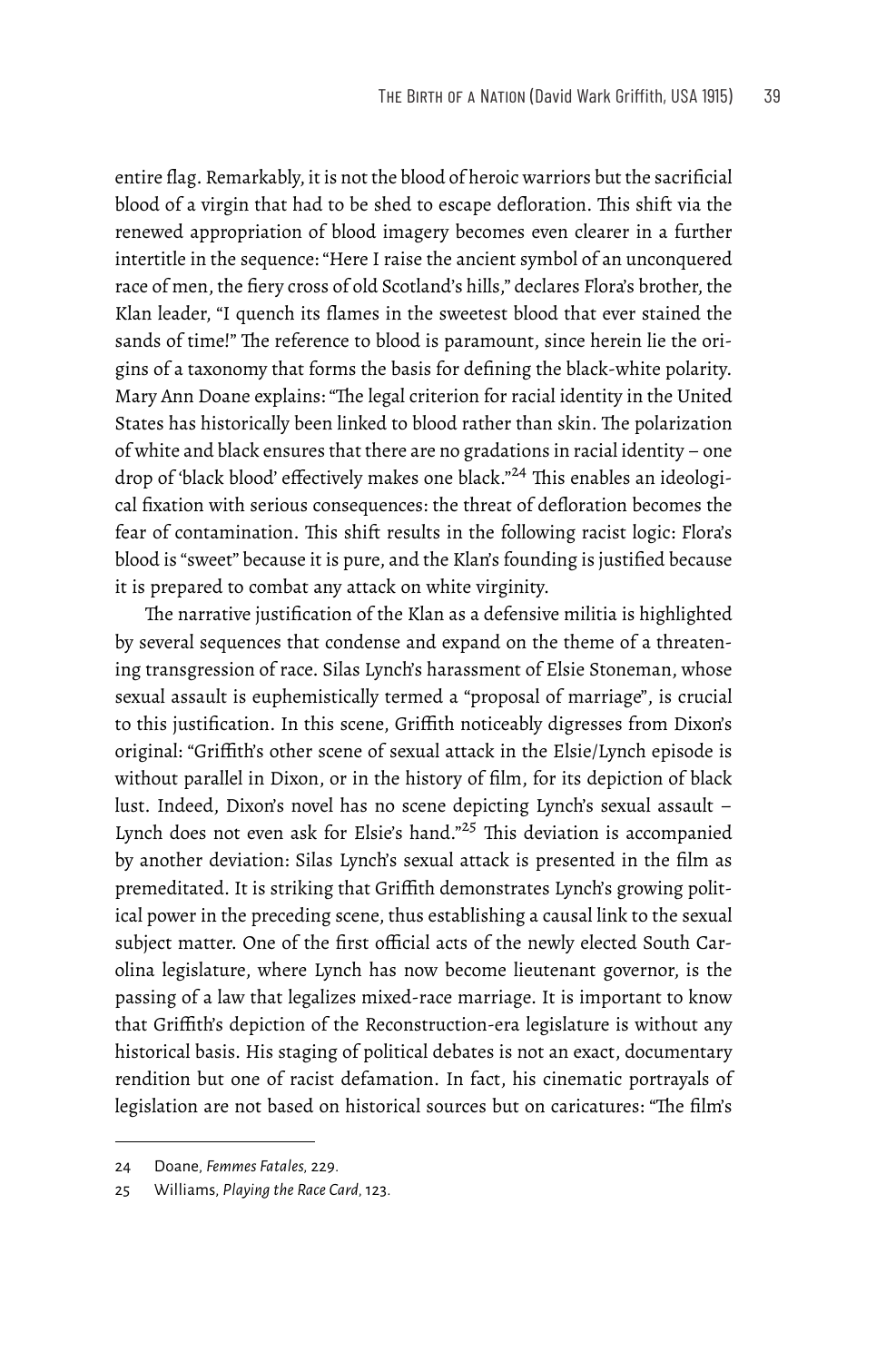entire flag. Remarkably, it is not the blood of heroic warriors but the sacrificial blood of a virgin that had to be shed to escape defloration. This shift via the renewed appropriation of blood imagery becomes even clearer in a further intertitle in the sequence: "Here I raise the ancient symbol of an unconquered race of men, the fiery cross of old Scotland's hills," declares Flora's brother, the Klan leader, "I quench its flames in the sweetest blood that ever stained the sands of time!" The reference to blood is paramount, since herein lie the origins of a taxonomy that forms the basis for defining the black-white polarity. Mary Ann Doane explains: "The legal criterion for racial identity in the United States has historically been linked to blood rather than skin. The polarization of white and black ensures that there are no gradations in racial identity – one drop of 'black blood' effectively makes one black."[24](#page-29-0) This enables an ideological fixation with serious consequences: the threat of defloration becomes the fear of contamination. This shift results in the following racist logic: Flora's blood is "sweet" because it is pure, and the Klan's founding is justified because it is prepared to combat any attack on white virginity.

The narrative justification of the Klan as a defensive militia is highlighted by several sequences that condense and expand on the theme of a threatening transgression of race. Silas Lynch's harassment of Elsie Stoneman, whose sexual assault is euphemistically termed a "proposal of marriage", is crucial to this justification. In this scene, Griffith noticeably digresses from Dixon's original: "Griffith's other scene of sexual attack in the Elsie/Lynch episode is without parallel in Dixon, or in the history of film, for its depiction of black lust. Indeed, Dixon's novel has no scene depicting Lynch's sexual assault – Lynch does not even ask for Elsie's hand."<sup>[25](#page-29-1)</sup> This deviation is accompanied by another deviation: Silas Lynch's sexual attack is presented in the film as premeditated. It is striking that Griffith demonstrates Lynch's growing political power in the preceding scene, thus establishing a causal link to the sexual subject matter. One of the first official acts of the newly elected South Carolina legislature, where Lynch has now become lieutenant governor, is the passing of a law that legalizes mixed-race marriage. It is important to know that Griffith's depiction of the Reconstruction-era legislature is without any historical basis. His staging of political debates is not an exact, documentary rendition but one of racist defamation. In fact, his cinematic portrayals of legislation are not based on historical sources but on caricatures: "The film's

<span id="page-29-0"></span><sup>24</sup> Doane, *Femmes Fatales,* 229.

<span id="page-29-1"></span><sup>25</sup> Williams, *Playing the Race Card,* 123.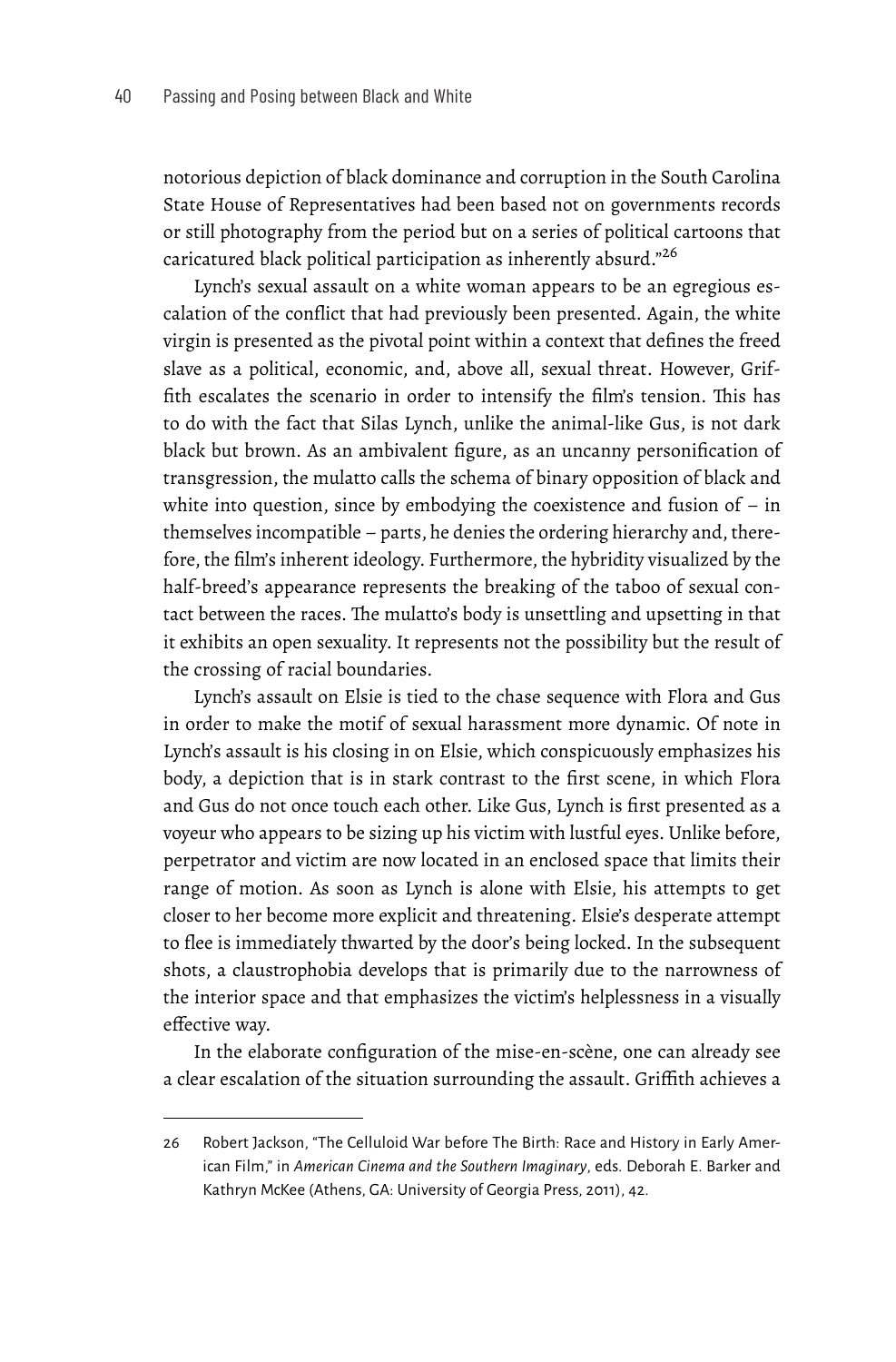notorious depiction of black dominance and corruption in the South Carolina State House of Representatives had been based not on governments records or still photography from the period but on a series of political cartoons that caricatured black political participation as inherently absurd."[26](#page-30-0)

Lynch's sexual assault on a white woman appears to be an egregious escalation of the conflict that had previously been presented. Again, the white virgin is presented as the pivotal point within a context that defines the freed slave as a political, economic, and, above all, sexual threat. However, Griffith escalates the scenario in order to intensify the film's tension. This has to do with the fact that Silas Lynch, unlike the animal-like Gus, is not dark black but brown. As an ambivalent figure, as an uncanny personification of transgression, the mulatto calls the schema of binary opposition of black and white into question, since by embodying the coexistence and fusion of  $-$  in themselves incompatible – parts, he denies the ordering hierarchy and, therefore, the film's inherent ideology. Furthermore, the hybridity visualized by the half-breed's appearance represents the breaking of the taboo of sexual contact between the races. The mulatto's body is unsettling and upsetting in that it exhibits an open sexuality. It represents not the possibility but the result of the crossing of racial boundaries.

Lynch's assault on Elsie is tied to the chase sequence with Flora and Gus in order to make the motif of sexual harassment more dynamic. Of note in Lynch's assault is his closing in on Elsie, which conspicuously emphasizes his body, a depiction that is in stark contrast to the first scene, in which Flora and Gus do not once touch each other. Like Gus, Lynch is first presented as a voyeur who appears to be sizing up his victim with lustful eyes. Unlike before, perpetrator and victim are now located in an enclosed space that limits their range of motion. As soon as Lynch is alone with Elsie, his attempts to get closer to her become more explicit and threatening. Elsie's desperate attempt to flee is immediately thwarted by the door's being locked. In the subsequent shots, a claustrophobia develops that is primarily due to the narrowness of the interior space and that emphasizes the victim's helplessness in a visually effective way.

In the elaborate configuration of the mise-en-scène, one can already see a clear escalation of the situation surrounding the assault. Griffith achieves a

<span id="page-30-0"></span><sup>26</sup> Robert Jackson, "The Celluloid War before The Birth: Race and History in Early American Film," in *American Cinema and the Southern Imaginary*, eds. Deborah E. Barker and Kathryn McKee (Athens, GA: University of Georgia Press, 2011), 42.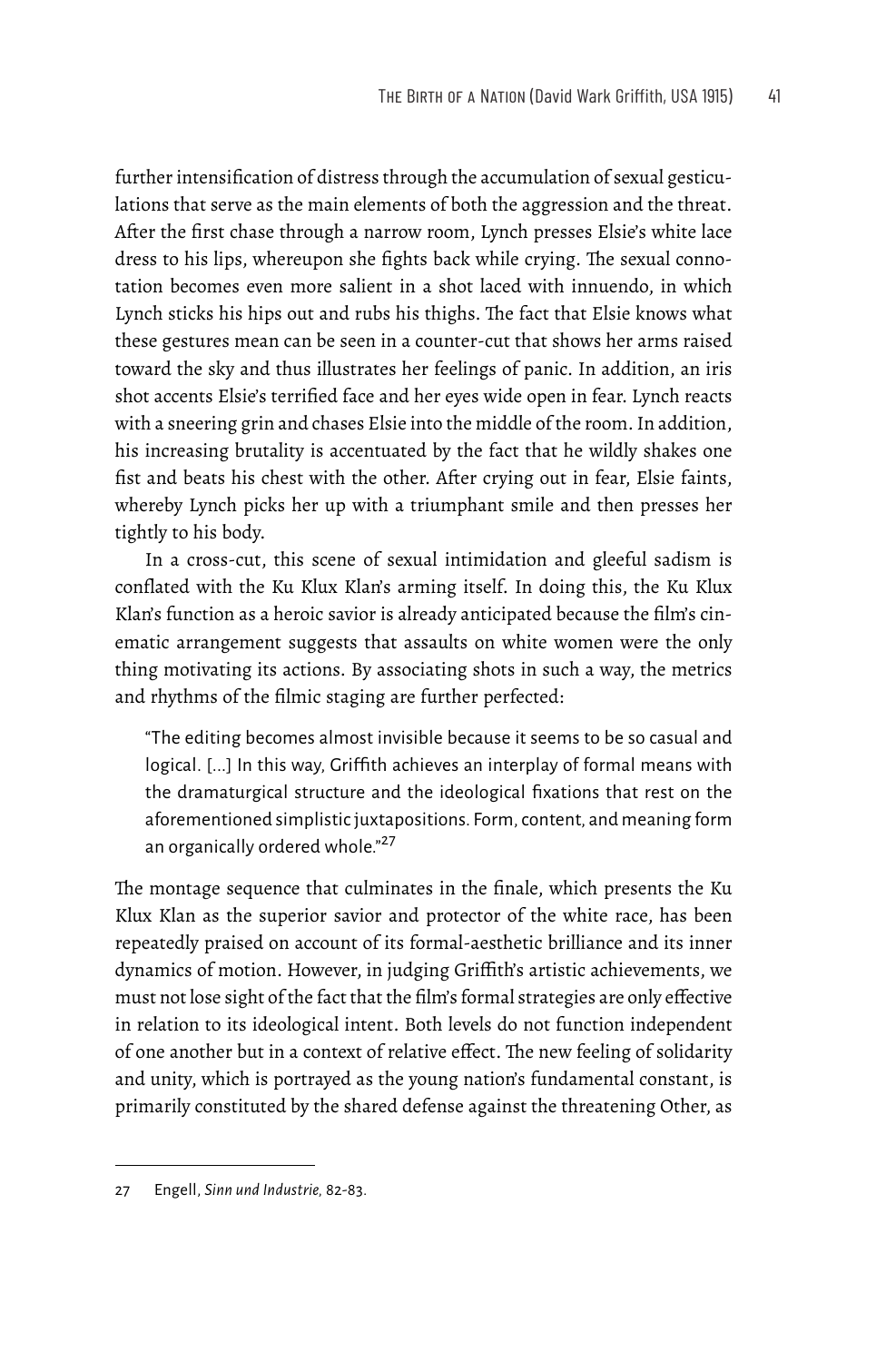further intensification of distress through the accumulation of sexual gesticulations that serve as the main elements of both the aggression and the threat. After the first chase through a narrow room, Lynch presses Elsie's white lace dress to his lips, whereupon she fights back while crying. The sexual connotation becomes even more salient in a shot laced with innuendo, in which Lynch sticks his hips out and rubs his thighs. The fact that Elsie knows what these gestures mean can be seen in a counter-cut that shows her arms raised toward the sky and thus illustrates her feelings of panic. In addition, an iris shot accents Elsie's terrified face and her eyes wide open in fear. Lynch reacts with a sneering grin and chases Elsie into the middle of the room. In addition, his increasing brutality is accentuated by the fact that he wildly shakes one fist and beats his chest with the other. After crying out in fear, Elsie faints, whereby Lynch picks her up with a triumphant smile and then presses her tightly to his body.

In a cross-cut, this scene of sexual intimidation and gleeful sadism is conflated with the Ku Klux Klan's arming itself. In doing this, the Ku Klux Klan's function as a heroic savior is already anticipated because the film's cinematic arrangement suggests that assaults on white women were the only thing motivating its actions. By associating shots in such a way, the metrics and rhythms of the filmic staging are further perfected:

"The editing becomes almost invisible because it seems to be so casual and logical. [...] In this way, Griffith achieves an interplay of formal means with the dramaturgical structure and the ideological fixations that rest on the aforementioned simplistic juxtapositions. Form, content, and meaning form an organically ordered whole."<sup>[27](#page-31-0)</sup>

The montage sequence that culminates in the finale, which presents the Ku Klux Klan as the superior savior and protector of the white race, has been repeatedly praised on account of its formal-aesthetic brilliance and its inner dynamics of motion. However, in judging Griffith's artistic achievements, we must not lose sight of the fact that the film's formal strategies are only effective in relation to its ideological intent. Both levels do not function independent of one another but in a context of relative effect. The new feeling of solidarity and unity, which is portrayed as the young nation's fundamental constant, is primarily constituted by the shared defense against the threatening Other, as

<span id="page-31-0"></span><sup>27</sup> Engell, *Sinn und Industrie,* 82-83.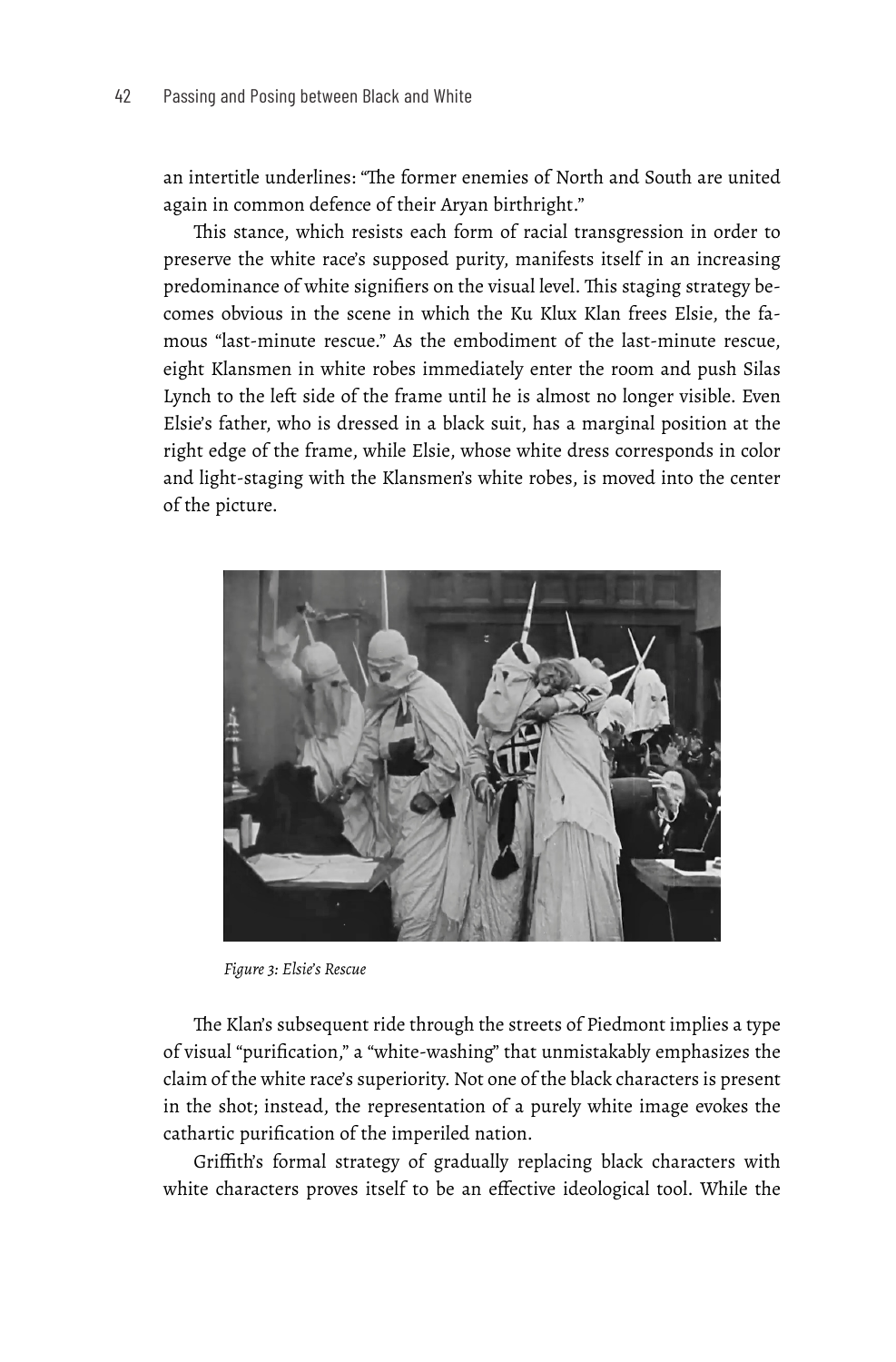an intertitle underlines: "The former enemies of North and South are united again in common defence of their Aryan birthright."

This stance, which resists each form of racial transgression in order to preserve the white race's supposed purity, manifests itself in an increasing predominance of white signifiers on the visual level. This staging strategy becomes obvious in the scene in which the Ku Klux Klan frees Elsie, the famous "last-minute rescue." As the embodiment of the last-minute rescue, eight Klansmen in white robes immediately enter the room and push Silas Lynch to the left side of the frame until he is almost no longer visible. Even Elsie's father, who is dressed in a black suit, has a marginal position at the right edge of the frame, while Elsie, whose white dress corresponds in color and light-staging with the Klansmen's white robes, is moved into the center of the picture.



*Figure 3: Elsie's Rescue*

The Klan's subsequent ride through the streets of Piedmont implies a type of visual "purification," a "white-washing" that unmistakably emphasizes the claim of the white race's superiority. Not one of the black characters is present in the shot; instead, the representation of a purely white image evokes the cathartic purification of the imperiled nation.

Griffith's formal strategy of gradually replacing black characters with white characters proves itself to be an effective ideological tool. While the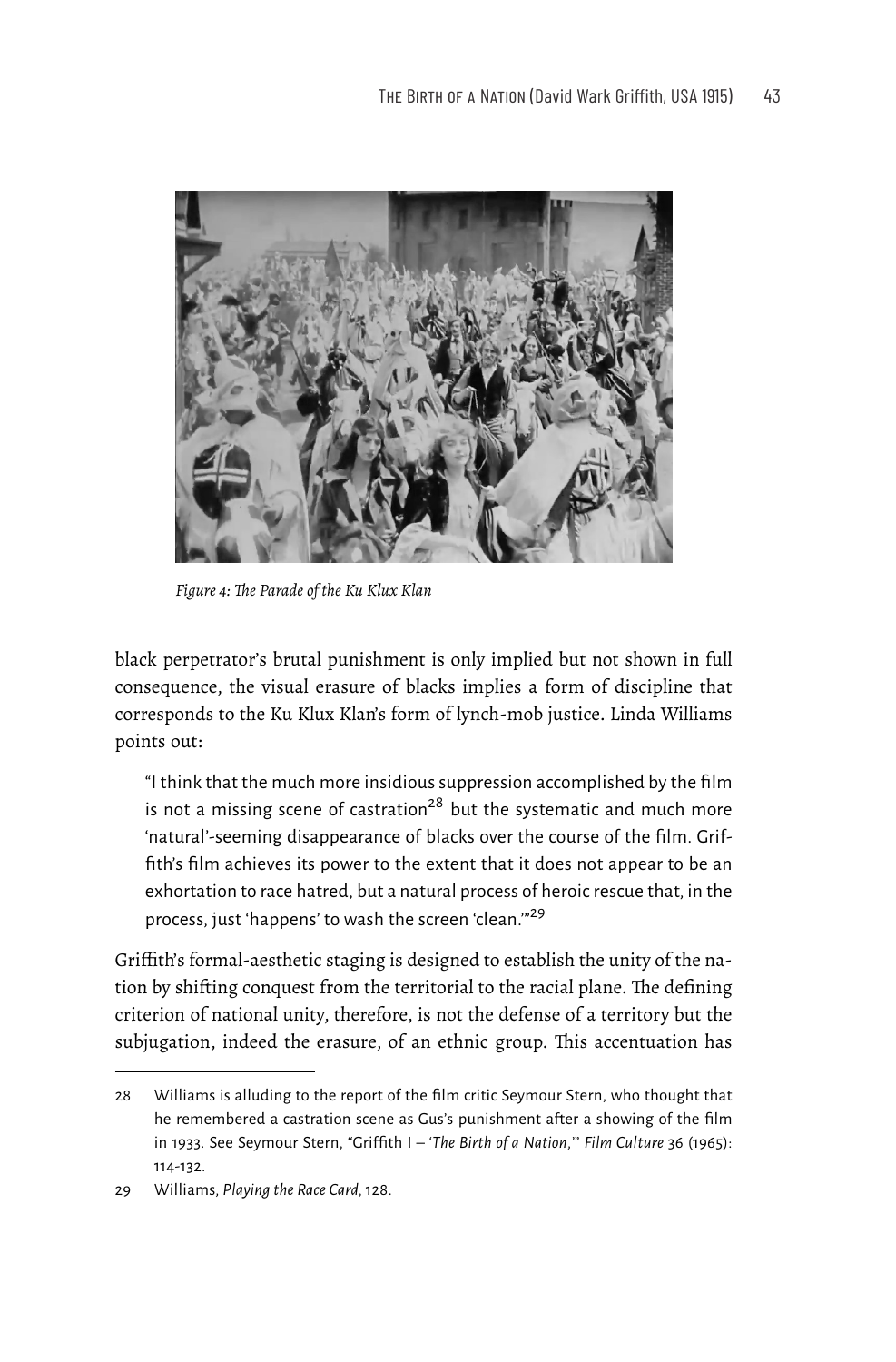

*Figure 4: The Parade of the Ku Klux Klan*

black perpetrator's brutal punishment is only implied but not shown in full consequence, the visual erasure of blacks implies a form of discipline that corresponds to the Ku Klux Klan's form of lynch-mob justice. Linda Williams points out:

"I think that the much more insidious suppression accomplished by the film is not a missing scene of castration<sup>[28](#page-33-0)</sup> but the systematic and much more 'natural'-seeming disappearance of blacks over the course of the film. Griffith's film achieves its power to the extent that it does not appear to be an exhortation to race hatred, but a natural process of heroic rescue that, in the process, just 'happens' to wash the screen 'clean.'"[29](#page-33-1)

Griffith's formal-aesthetic staging is designed to establish the unity of the nation by shifting conquest from the territorial to the racial plane. The defining criterion of national unity, therefore, is not the defense of a territory but the subjugation, indeed the erasure, of an ethnic group. This accentuation has

<span id="page-33-0"></span><sup>28</sup> Williams is alluding to the report of the film critic Seymour Stern, who thought that he remembered a castration scene as Gus's punishment after a showing of the film in 1933. See Seymour Stern, "Griffith I – '*The Birth of a Nation*,*'*" *Film Culture* 36 (1965): 114-132.

<span id="page-33-1"></span><sup>29</sup> Williams, *Playing the Race Card,* 128.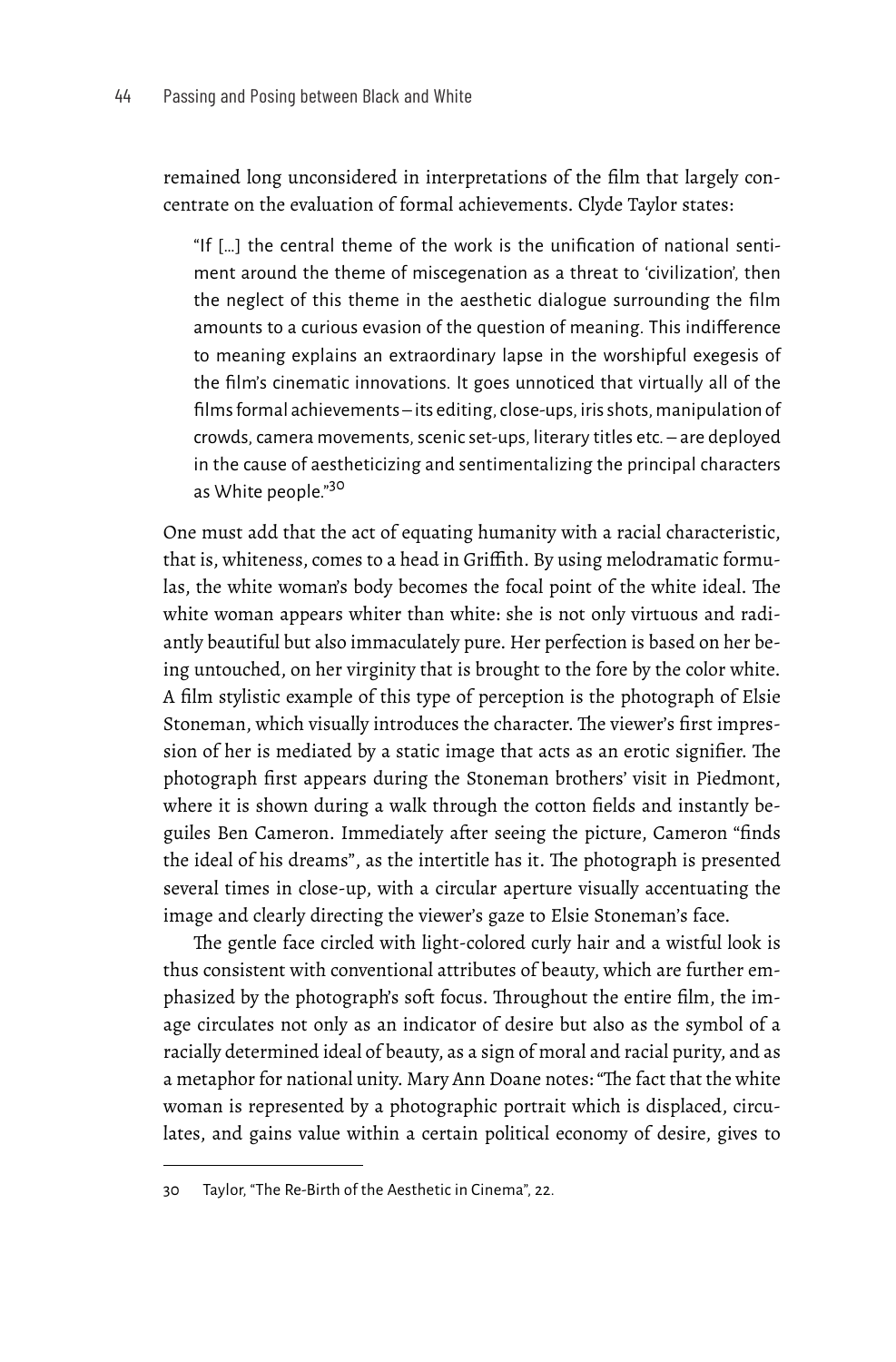remained long unconsidered in interpretations of the film that largely concentrate on the evaluation of formal achievements. Clyde Taylor states:

"If […] the central theme of the work is the unification of national sentiment around the theme of miscegenation as a threat to 'civilization', then the neglect of this theme in the aesthetic dialogue surrounding the film amounts to a curious evasion of the question of meaning. This indifference to meaning explains an extraordinary lapse in the worshipful exegesis of the film's cinematic innovations. It goes unnoticed that virtually all of the films formal achievements – its editing, close-ups, iris shots, manipulation of crowds, camera movements, scenic set-ups, literary titles etc. – are deployed in the cause of aestheticizing and sentimentalizing the principal characters as White people."[30](#page-34-0)

One must add that the act of equating humanity with a racial characteristic, that is, whiteness, comes to a head in Griffith. By using melodramatic formulas, the white woman's body becomes the focal point of the white ideal. The white woman appears whiter than white: she is not only virtuous and radiantly beautiful but also immaculately pure. Her perfection is based on her being untouched, on her virginity that is brought to the fore by the color white. A film stylistic example of this type of perception is the photograph of Elsie Stoneman, which visually introduces the character. The viewer's first impression of her is mediated by a static image that acts as an erotic signifier. The photograph first appears during the Stoneman brothers' visit in Piedmont, where it is shown during a walk through the cotton fields and instantly beguiles Ben Cameron. Immediately after seeing the picture, Cameron "finds the ideal of his dreams", as the intertitle has it. The photograph is presented several times in close-up, with a circular aperture visually accentuating the image and clearly directing the viewer's gaze to Elsie Stoneman's face.

The gentle face circled with light-colored curly hair and a wistful look is thus consistent with conventional attributes of beauty, which are further emphasized by the photograph's soft focus. Throughout the entire film, the image circulates not only as an indicator of desire but also as the symbol of a racially determined ideal of beauty, as a sign of moral and racial purity, and as a metaphor for national unity. Mary Ann Doane notes: "The fact that the white woman is represented by a photographic portrait which is displaced, circulates, and gains value within a certain political economy of desire, gives to

<span id="page-34-0"></span><sup>30</sup> Taylor, "The Re-Birth of the Aesthetic in Cinema", 22.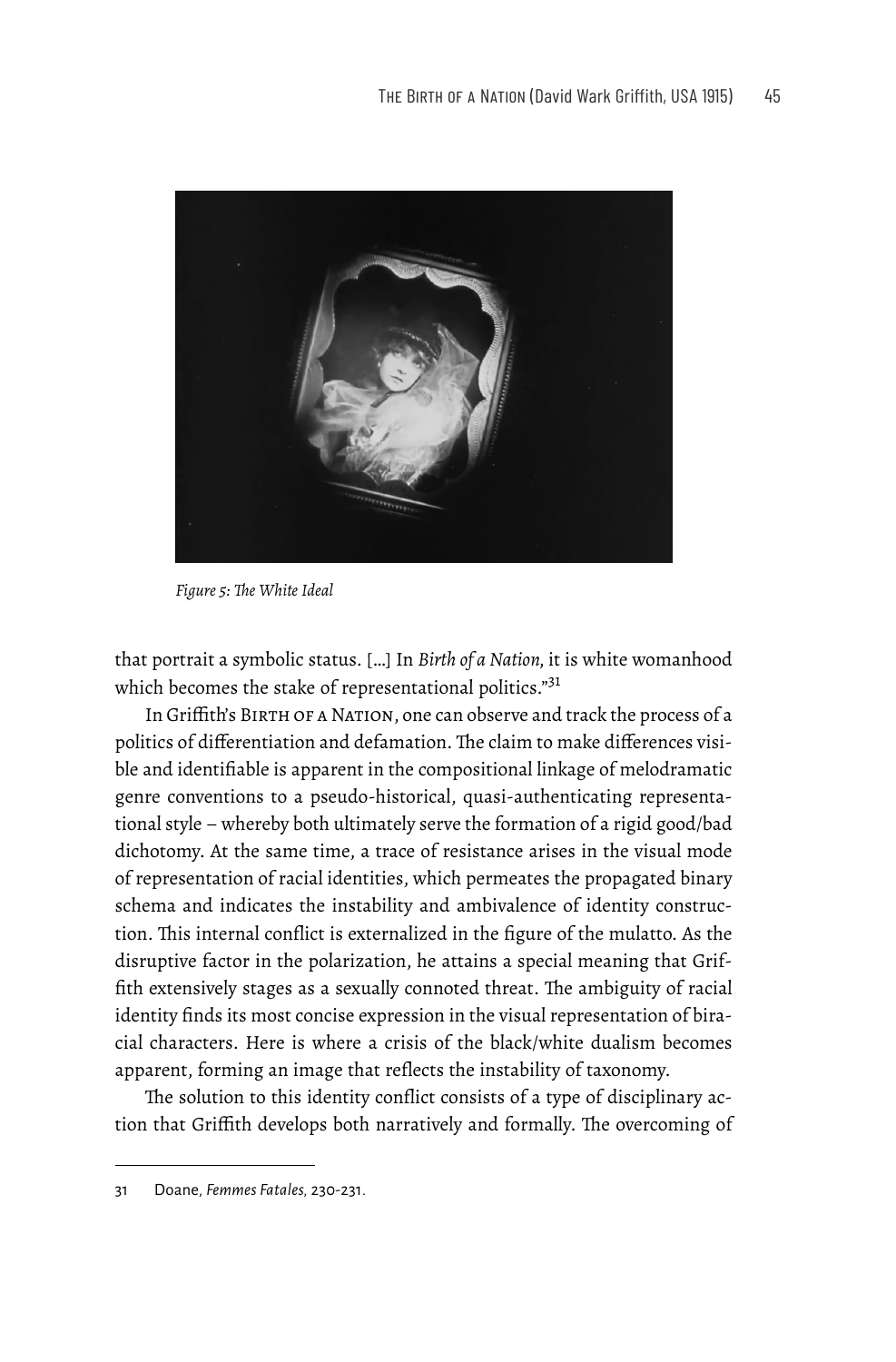

*Figure 5: The White Ideal*

that portrait a symbolic status. […] In *Birth of a Nation,* it is white womanhood which becomes the stake of representational politics."<sup>[31](#page-35-0)</sup>

In Griffith's BIRTH OF A NATION, one can observe and track the process of a politics of differentiation and defamation. The claim to make differences visible and identifiable is apparent in the compositional linkage of melodramatic genre conventions to a pseudo-historical, quasi-authenticating representational style – whereby both ultimately serve the formation of a rigid good/bad dichotomy. At the same time, a trace of resistance arises in the visual mode of representation of racial identities, which permeates the propagated binary schema and indicates the instability and ambivalence of identity construction. This internal conflict is externalized in the figure of the mulatto. As the disruptive factor in the polarization, he attains a special meaning that Griffith extensively stages as a sexually connoted threat. The ambiguity of racial identity finds its most concise expression in the visual representation of biracial characters. Here is where a crisis of the black/white dualism becomes apparent, forming an image that reflects the instability of taxonomy.

The solution to this identity conflict consists of a type of disciplinary action that Griffith develops both narratively and formally. The overcoming of

<span id="page-35-0"></span><sup>31</sup> Doane, *Femmes Fatales,* 230-231.